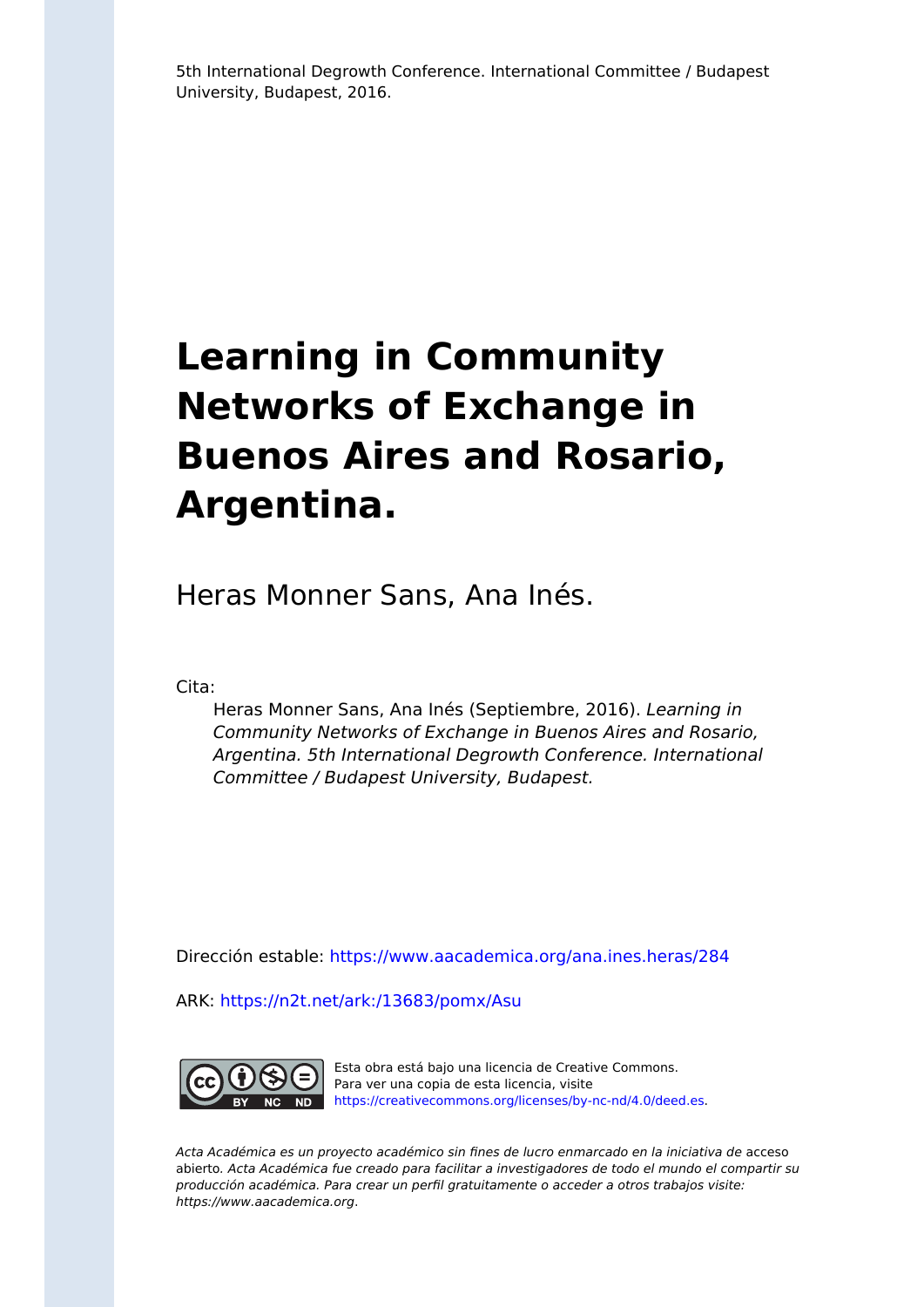5th International Degrowth Conference. International Committee / Budapest University, Budapest, 2016.

# **Learning in Community Networks of Exchange in Buenos Aires and Rosario, Argentina.**

Heras Monner Sans, Ana Inés.

Cita:

Heras Monner Sans, Ana Inés (Septiembre, 2016). Learning in Community Networks of Exchange in Buenos Aires and Rosario, Argentina. 5th International Degrowth Conference. International Committee / Budapest University, Budapest.

Dirección estable:<https://www.aacademica.org/ana.ines.heras/284>

ARK: <https://n2t.net/ark:/13683/pomx/Asu>



Esta obra está bajo una licencia de Creative Commons. Para ver una copia de esta licencia, visite [https://creativecommons.org/licenses/by-nc-nd/4.0/deed.es.](https://creativecommons.org/licenses/by-nc-nd/4.0/deed.es)

Acta Académica es un proyecto académico sin fines de lucro enmarcado en la iniciativa de acceso abierto. Acta Académica fue creado para facilitar a investigadores de todo el mundo el compartir su producción académica. Para crear un perfil gratuitamente o acceder a otros trabajos visite: https://www.aacademica.org.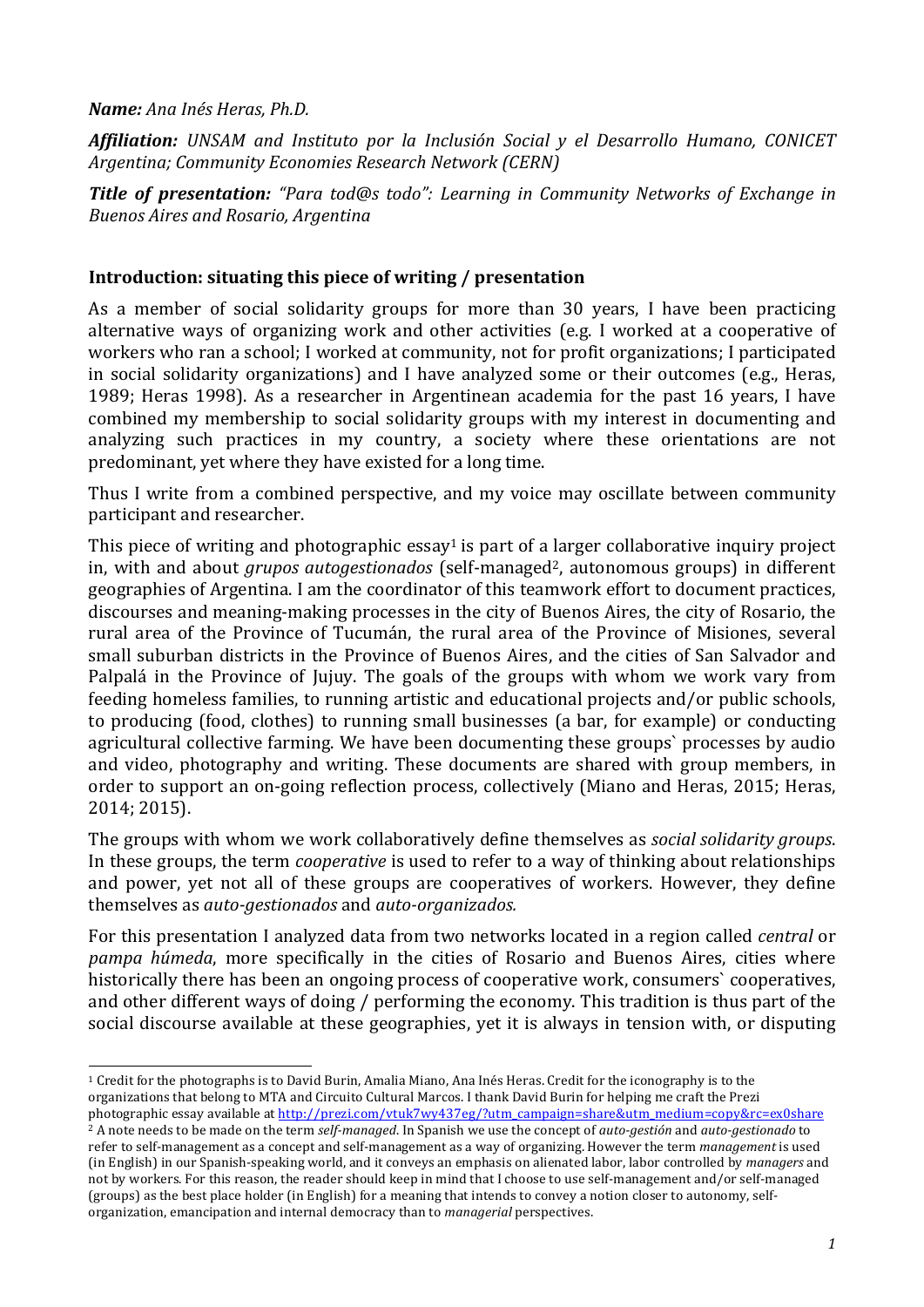## *Name: Ana Inés Heras, Ph.D.*

**Affiliation:** *UNSAM* and *Instituto por la Inclusión Social y el Desarrollo Humano, CONICET* Argentina; Community Economies Research Network (CERN)

**Title of presentation:** "Para tod@s todo": Learning in Community Networks of Exchange in *Buenos Aires and Rosario, Argentina*

## **Introduction: situating this piece of writing / presentation**

As a member of social solidarity groups for more than 30 years, I have been practicing alternative ways of organizing work and other activities (e.g. I worked at a cooperative of workers who ran a school; I worked at community, not for profit organizations; I participated in social solidarity organizations) and I have analyzed some or their outcomes (e.g., Heras, 1989; Heras 1998). As a researcher in Argentinean academia for the past 16 years, I have combined my membership to social solidarity groups with my interest in documenting and analyzing such practices in my country, a society where these orientations are not predominant, yet where they have existed for a long time.

Thus I write from a combined perspective, and my voice may oscillate between community participant and researcher.

This piece of writing and photographic  $essav<sup>1</sup>$  is part of a larger collaborative inquiry project in, with and about *grupos autogestionados* (self-managed<sup>2</sup>, autonomous groups) in different geographies of Argentina. I am the coordinator of this teamwork effort to document practices, discourses and meaning-making processes in the city of Buenos Aires, the city of Rosario, the rural area of the Province of Tucumán, the rural area of the Province of Misiones, several small suburban districts in the Province of Buenos Aires, and the cities of San Salvador and Palpalá in the Province of Jujuy. The goals of the groups with whom we work vary from feeding homeless families, to running artistic and educational projects and/or public schools, to producing (food, clothes) to running small businesses (a bar, for example) or conducting agricultural collective farming. We have been documenting these groups' processes by audio and video, photography and writing. These documents are shared with group members, in order to support an on-going reflection process, collectively (Miano and Heras, 2015; Heras, 2014; 2015). 

The groups with whom we work collaboratively define themselves as *social solidarity groups*. In these groups, the term *cooperative* is used to refer to a way of thinking about relationships and power, yet not all of these groups are cooperatives of workers. However, they define themselves as *auto-gestionados* and *auto-organizados.*

For this presentation I analyzed data from two networks located in a region called *central* or *pampa húmeda*, more specifically in the cities of Rosario and Buenos Aires, cities where historically there has been an ongoing process of cooperative work, consumers' cooperatives, and other different ways of doing / performing the economy. This tradition is thus part of the social discourse available at these geographies, yet it is always in tension with, or disputing

<sup>2</sup> A note needs to be made on the term *self-managed*. In Spanish we use the concept of *auto-gestión* and *auto-gestionado* to refer to self-management as a concept and self-management as a way of organizing. However the term *management* is used (in English) in our Spanish-speaking world, and it conveys an emphasis on alienated labor, labor controlled by *managers* and not by workers. For this reason, the reader should keep in mind that I choose to use self-management and/or self-managed (groups) as the best place holder (in English) for a meaning that intends to convey a notion closer to autonomy, selforganization, emancipation and internal democracy than to *managerial* perspectives.

  $1$  Credit for the photographs is to David Burin, Amalia Miano, Ana Inés Heras. Credit for the iconography is to the organizations that belong to MTA and Circuito Cultural Marcos. I thank David Burin for helping me craft the Prezi photographic essay available at http://prezi.com/vtuk7wy437eg/?utm\_campaign=share&utm\_medium=copy&rc=ex0share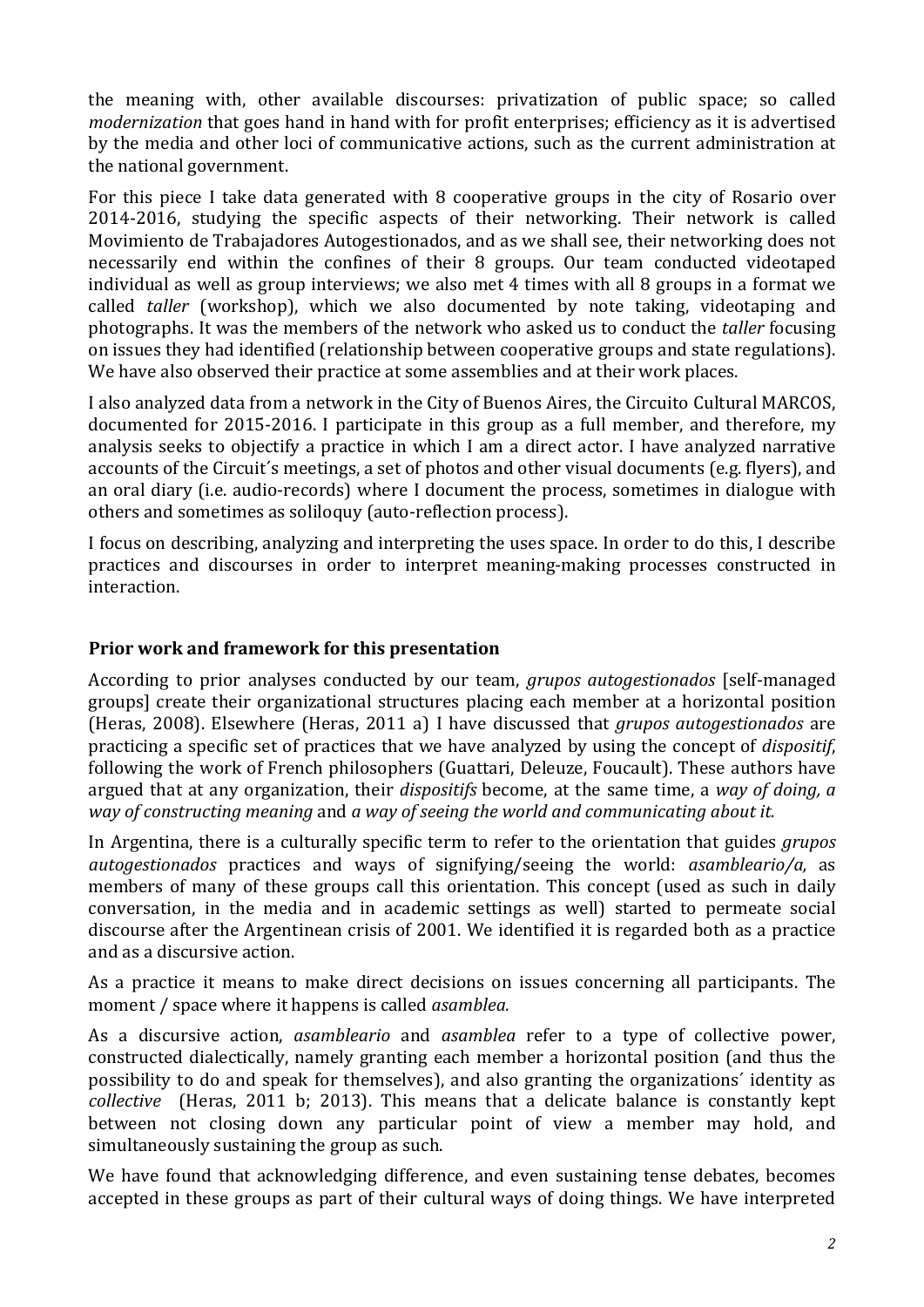the meaning with, other available discourses: privatization of public space; so called *modernization* that goes hand in hand with for profit enterprises; efficiency as it is advertised by the media and other loci of communicative actions, such as the current administration at the national government.

For this piece I take data generated with 8 cooperative groups in the city of Rosario over 2014-2016, studying the specific aspects of their networking. Their network is called Movimiento de Trabajadores Autogestionados, and as we shall see, their networking does not necessarily end within the confines of their 8 groups. Our team conducted videotaped individual as well as group interviews; we also met 4 times with all 8 groups in a format we called *taller* (workshop), which we also documented by note taking, videotaping and photographs. It was the members of the network who asked us to conduct the *taller* focusing on issues they had identified (relationship between cooperative groups and state regulations). We have also observed their practice at some assemblies and at their work places.

I also analyzed data from a network in the City of Buenos Aires, the Circuito Cultural MARCOS, documented for 2015-2016. I participate in this group as a full member, and therefore, my analysis seeks to objectify a practice in which I am a direct actor. I have analyzed narrative accounts of the Circuit's meetings, a set of photos and other visual documents (e.g. flyers), and an oral diary (i.e. audio-records) where I document the process, sometimes in dialogue with others and sometimes as soliloquy (auto-reflection process).

I focus on describing, analyzing and interpreting the uses space. In order to do this, I describe practices and discourses in order to interpret meaning-making processes constructed in interaction. 

### **Prior work and framework for this presentation**

According to prior analyses conducted by our team, *grupos autogestionados* [self-managed groups] create their organizational structures placing each member at a horizontal position (Heras, 2008). Elsewhere (Heras, 2011 a) I have discussed that *grupos autogestionados* are practicing a specific set of practices that we have analyzed by using the concept of *dispositif*, following the work of French philosophers (Guattari, Deleuze, Foucault). These authors have argued that at any organization, their *dispositifs* become, at the same time, a *way of doing*, *a way* of constructing meaning and a way of seeing the world and communicating about it.

In Argentina, there is a culturally specific term to refer to the orientation that guides *grupos autogestionados* practices and ways of signifying/seeing the world: *asambleario/a*, as members of many of these groups call this orientation. This concept (used as such in daily conversation, in the media and in academic settings as well) started to permeate social discourse after the Argentinean crisis of 2001. We identified it is regarded both as a practice and as a discursive action.

As a practice it means to make direct decisions on issues concerning all participants. The moment / space where it happens is called *asamblea*.

As a discursive action, *asambleario* and *asamblea* refer to a type of collective power, constructed dialectically, namely granting each member a horizontal position (and thus the possibility to do and speak for themselves), and also granting the organizations' identity as *collective* (Heras, 2011 b; 2013). This means that a delicate balance is constantly kept between not closing down any particular point of view a member may hold, and simultaneously sustaining the group as such.

We have found that acknowledging difference, and even sustaining tense debates, becomes accepted in these groups as part of their cultural ways of doing things. We have interpreted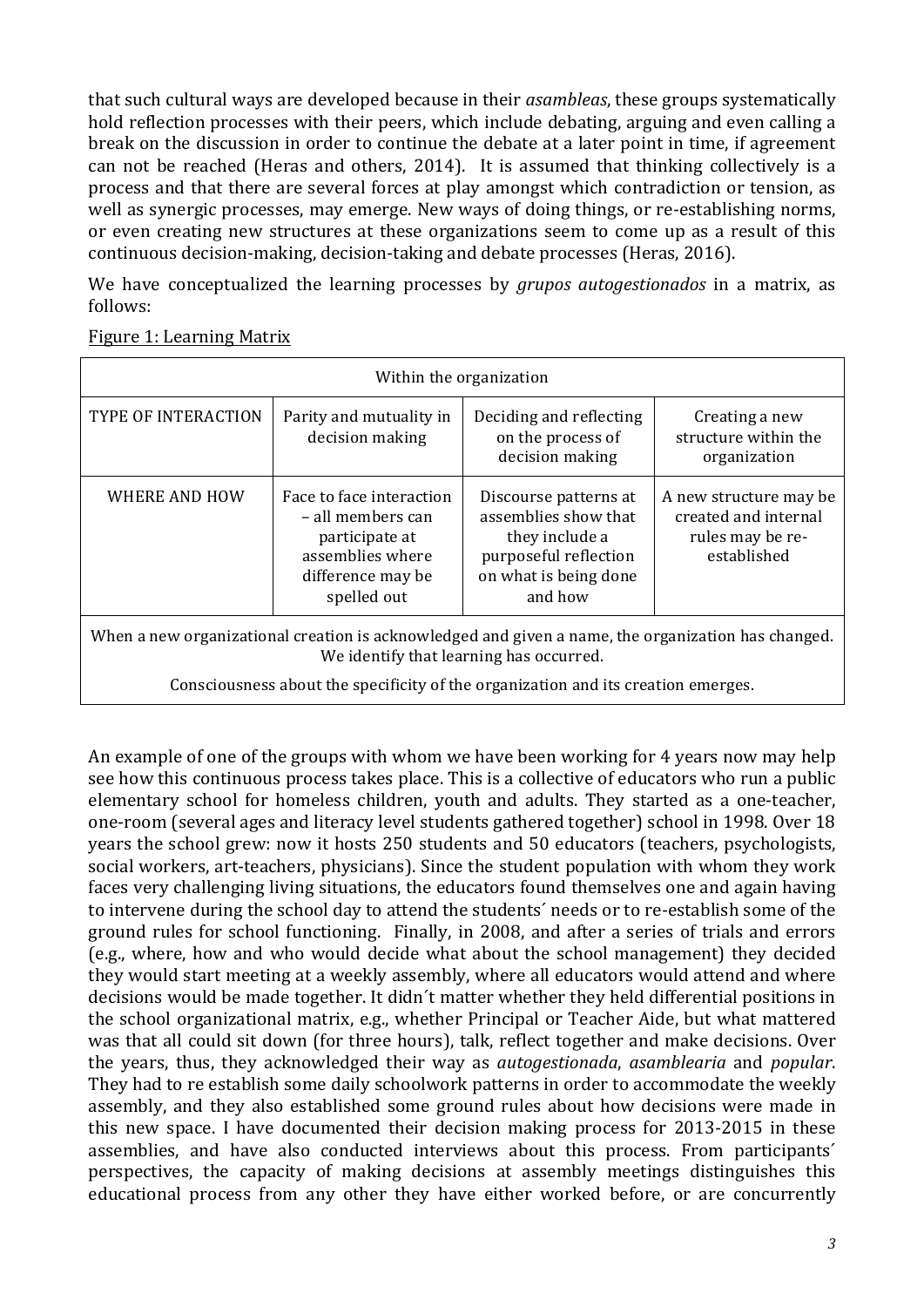that such cultural ways are developed because in their *asambleas*, these groups systematically hold reflection processes with their peers, which include debating, arguing and even calling a break on the discussion in order to continue the debate at a later point in time, if agreement can not be reached (Heras and others, 2014). It is assumed that thinking collectively is a process and that there are several forces at play amongst which contradiction or tension, as well as synergic processes, may emerge. New ways of doing things, or re-establishing norms, or even creating new structures at these organizations seem to come up as a result of this continuous decision-making, decision-taking and debate processes (Heras, 2016).

We have conceptualized the learning processes by *grupos gutogestionados* in a matrix, as follows:

| Within the organization                                                                                                                       |                                                                                                                         |                                                                                                                              |                                                                                   |  |  |
|-----------------------------------------------------------------------------------------------------------------------------------------------|-------------------------------------------------------------------------------------------------------------------------|------------------------------------------------------------------------------------------------------------------------------|-----------------------------------------------------------------------------------|--|--|
| TYPE OF INTERACTION                                                                                                                           | Parity and mutuality in<br>decision making                                                                              | Deciding and reflecting<br>on the process of<br>decision making                                                              | Creating a new<br>structure within the<br>organization                            |  |  |
| WHERE AND HOW                                                                                                                                 | Face to face interaction<br>- all members can<br>participate at<br>assemblies where<br>difference may be<br>spelled out | Discourse patterns at<br>assemblies show that<br>they include a<br>purposeful reflection<br>on what is being done<br>and how | A new structure may be<br>created and internal<br>rules may be re-<br>established |  |  |
| When a new organizational creation is acknowledged and given a name, the organization has changed.<br>We identify that learning has occurred. |                                                                                                                         |                                                                                                                              |                                                                                   |  |  |
| Consciousness about the specificity of the organization and its creation emerges.                                                             |                                                                                                                         |                                                                                                                              |                                                                                   |  |  |

Figure 1: Learning Matrix

An example of one of the groups with whom we have been working for 4 years now may help see how this continuous process takes place. This is a collective of educators who run a public elementary school for homeless children, youth and adults. They started as a one-teacher, one-room (several ages and literacy level students gathered together) school in 1998. Over 18 years the school grew: now it hosts 250 students and 50 educators (teachers, psychologists, social workers, art-teachers, physicians). Since the student population with whom they work faces very challenging living situations, the educators found themselves one and again having to intervene during the school day to attend the students' needs or to re-establish some of the ground rules for school functioning. Finally, in 2008, and after a series of trials and errors (e.g., where, how and who would decide what about the school management) they decided they would start meeting at a weekly assembly, where all educators would attend and where decisions would be made together. It didn't matter whether they held differential positions in the school organizational matrix, e.g., whether Principal or Teacher Aide, but what mattered was that all could sit down (for three hours), talk, reflect together and make decisions. Over the years, thus, they acknowledged their way as *autogestionada*, *asamblearia* and *popular*. They had to re establish some daily schoolwork patterns in order to accommodate the weekly assembly, and they also established some ground rules about how decisions were made in this new space. I have documented their decision making process for 2013-2015 in these assemblies, and have also conducted interviews about this process. From participants' perspectives, the capacity of making decisions at assembly meetings distinguishes this educational process from any other they have either worked before, or are concurrently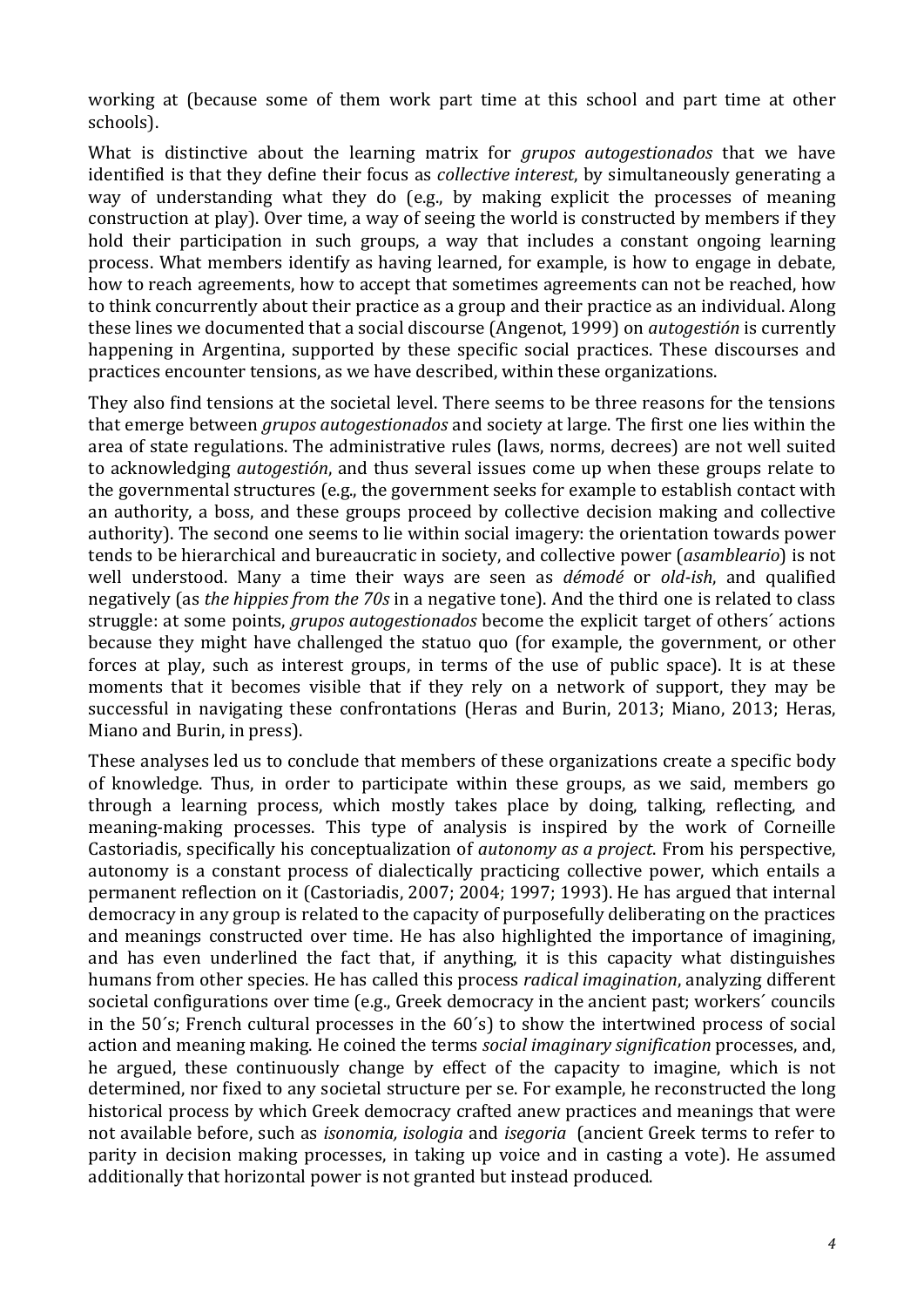working at (because some of them work part time at this school and part time at other schools).

What is distinctive about the learning matrix for *grupos autogestionados* that we have identified is that they define their focus as *collective interest*, by simultaneously generating a way of understanding what they do (e.g., by making explicit the processes of meaning construction at play). Over time, a way of seeing the world is constructed by members if they hold their participation in such groups, a way that includes a constant ongoing learning process. What members identify as having learned, for example, is how to engage in debate, how to reach agreements, how to accept that sometimes agreements can not be reached, how to think concurrently about their practice as a group and their practice as an individual. Along these lines we documented that a social discourse (Angenot, 1999) on *autogestión* is currently happening in Argentina, supported by these specific social practices. These discourses and practices encounter tensions, as we have described, within these organizations.

They also find tensions at the societal level. There seems to be three reasons for the tensions that emerge between *grupos autogestionados* and society at large. The first one lies within the area of state regulations. The administrative rules (laws, norms, decrees) are not well suited to acknowledging *autogestión*, and thus several issues come up when these groups relate to the governmental structures (e.g., the government seeks for example to establish contact with an authority, a boss, and these groups proceed by collective decision making and collective authority). The second one seems to lie within social imagery: the orientation towards power tends to be hierarchical and bureaucratic in society, and collective power (*asambleario*) is not well understood. Many a time their ways are seen as *démodé* or *old-ish*, and qualified negatively (as *the hippies from the 70s* in a negative tone). And the third one is related to class struggle: at some points, *grupos autogestionados* become the explicit target of others' actions because they might have challenged the statuo quo (for example, the government, or other forces at play, such as interest groups, in terms of the use of public space). It is at these moments that it becomes visible that if they rely on a network of support, they may be successful in navigating these confrontations (Heras and Burin, 2013; Miano, 2013; Heras, Miano and Burin, in press).

These analyses led us to conclude that members of these organizations create a specific body of knowledge. Thus, in order to participate within these groups, as we said, members go through a learning process, which mostly takes place by doing, talking, reflecting, and meaning-making processes. This type of analysis is inspired by the work of Corneille Castoriadis, specifically his conceptualization of *autonomy as a project*. From his perspective, autonomy is a constant process of dialectically practicing collective power, which entails a permanent reflection on it (Castoriadis, 2007; 2004; 1997; 1993). He has argued that internal democracy in any group is related to the capacity of purposefully deliberating on the practices and meanings constructed over time. He has also highlighted the importance of imagining, and has even underlined the fact that, if anything, it is this capacity what distinguishes humans from other species. He has called this process *radical imagination*, analyzing different societal configurations over time (e.g., Greek democracy in the ancient past; workers' councils in the  $50's$ ; French cultural processes in the  $60's$ ) to show the intertwined process of social action and meaning making. He coined the terms *social imaginary signification* processes, and, he argued, these continuously change by effect of the capacity to imagine, which is not determined, nor fixed to any societal structure per se. For example, he reconstructed the long historical process by which Greek democracy crafted anew practices and meanings that were not available before, such as *isonomia, isologia* and *isegoria* (ancient Greek terms to refer to parity in decision making processes, in taking up voice and in casting a vote). He assumed additionally that horizontal power is not granted but instead produced.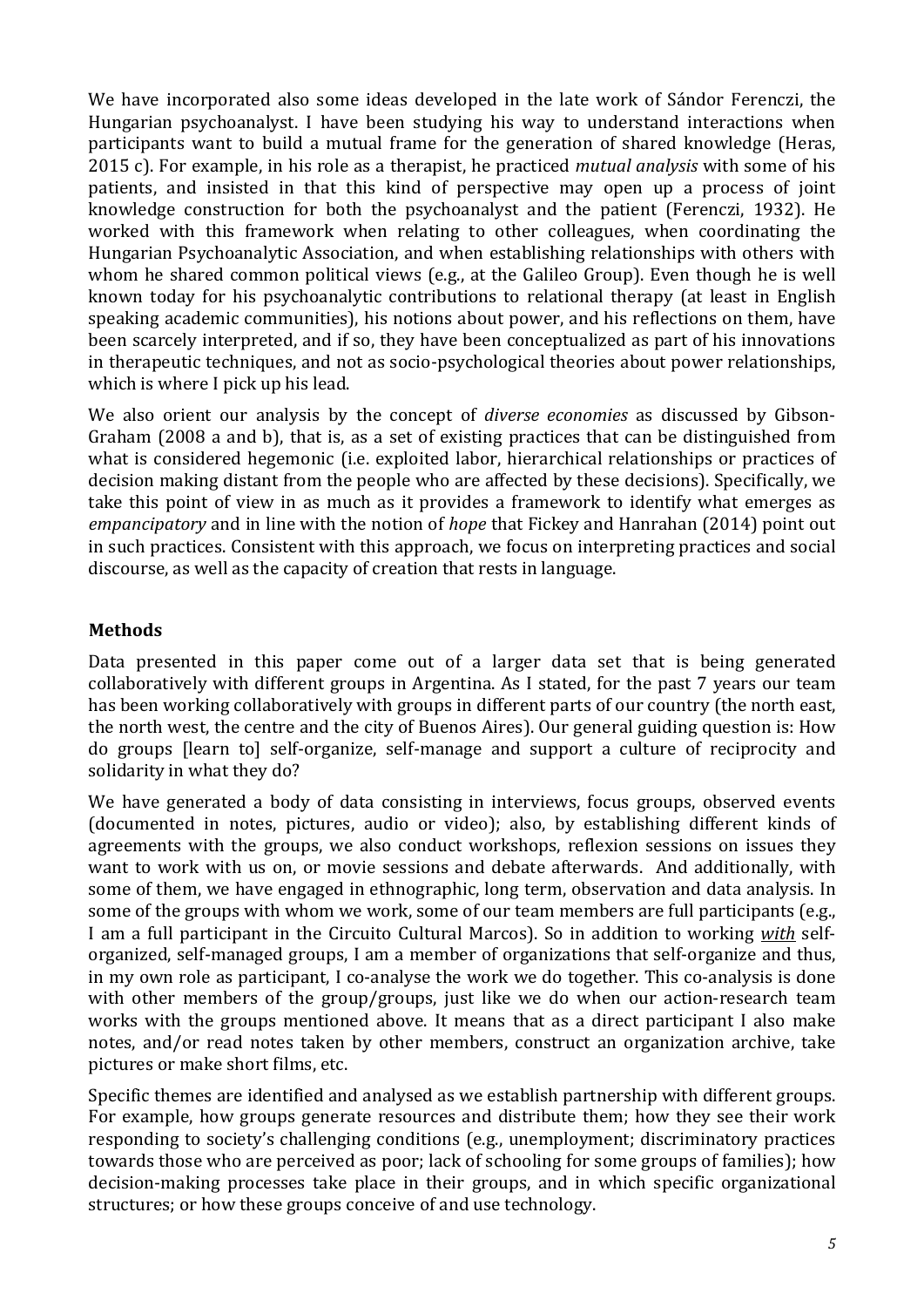We have incorporated also some ideas developed in the late work of Sándor Ferenczi, the Hungarian psychoanalyst. I have been studying his way to understand interactions when participants want to build a mutual frame for the generation of shared knowledge (Heras, 2015 c). For example, in his role as a therapist, he practiced *mutual analysis* with some of his patients, and insisted in that this kind of perspective may open up a process of joint knowledge construction for both the psychoanalyst and the patient (Ferenczi, 1932). He worked with this framework when relating to other colleagues, when coordinating the Hungarian Psychoanalytic Association, and when establishing relationships with others with whom he shared common political views (e.g., at the Galileo Group). Even though he is well known today for his psychoanalytic contributions to relational therapy (at least in English speaking academic communities), his notions about power, and his reflections on them, have been scarcely interpreted, and if so, they have been conceptualized as part of his innovations in therapeutic techniques, and not as socio-psychological theories about power relationships, which is where I pick up his lead.

We also orient our analysis by the concept of *diverse economies* as discussed by Gibson-Graham (2008 a and b), that is, as a set of existing practices that can be distinguished from what is considered hegemonic (i.e. exploited labor, hierarchical relationships or practices of decision making distant from the people who are affected by these decisions). Specifically, we take this point of view in as much as it provides a framework to identify what emerges as *empancipatory* and in line with the notion of *hope* that Fickey and Hanrahan (2014) point out in such practices. Consistent with this approach, we focus on interpreting practices and social discourse, as well as the capacity of creation that rests in language.

## **Methods**

Data presented in this paper come out of a larger data set that is being generated collaboratively with different groups in Argentina. As I stated, for the past 7 years our team has been working collaboratively with groups in different parts of our country (the north east, the north west, the centre and the city of Buenos Aires). Our general guiding question is: How do groups [learn to] self-organize, self-manage and support a culture of reciprocity and solidarity in what they do?

We have generated a body of data consisting in interviews, focus groups, observed events (documented in notes, pictures, audio or video); also, by establishing different kinds of agreements with the groups, we also conduct workshops, reflexion sessions on issues they want to work with us on, or movie sessions and debate afterwards. And additionally, with some of them, we have engaged in ethnographic, long term, observation and data analysis. In some of the groups with whom we work, some of our team members are full participants (e.g., I am a full participant in the Circuito Cultural Marcos). So in addition to working *with* selforganized, self-managed groups, I am a member of organizations that self-organize and thus, in my own role as participant, I co-analyse the work we do together. This co-analysis is done with other members of the group/groups, just like we do when our action-research team works with the groups mentioned above. It means that as a direct participant I also make notes, and/or read notes taken by other members, construct an organization archive, take pictures or make short films, etc.

Specific themes are identified and analysed as we establish partnership with different groups. For example, how groups generate resources and distribute them; how they see their work responding to society's challenging conditions (e.g., unemployment; discriminatory practices towards those who are perceived as poor; lack of schooling for some groups of families); how decision-making processes take place in their groups, and in which specific organizational structures; or how these groups conceive of and use technology.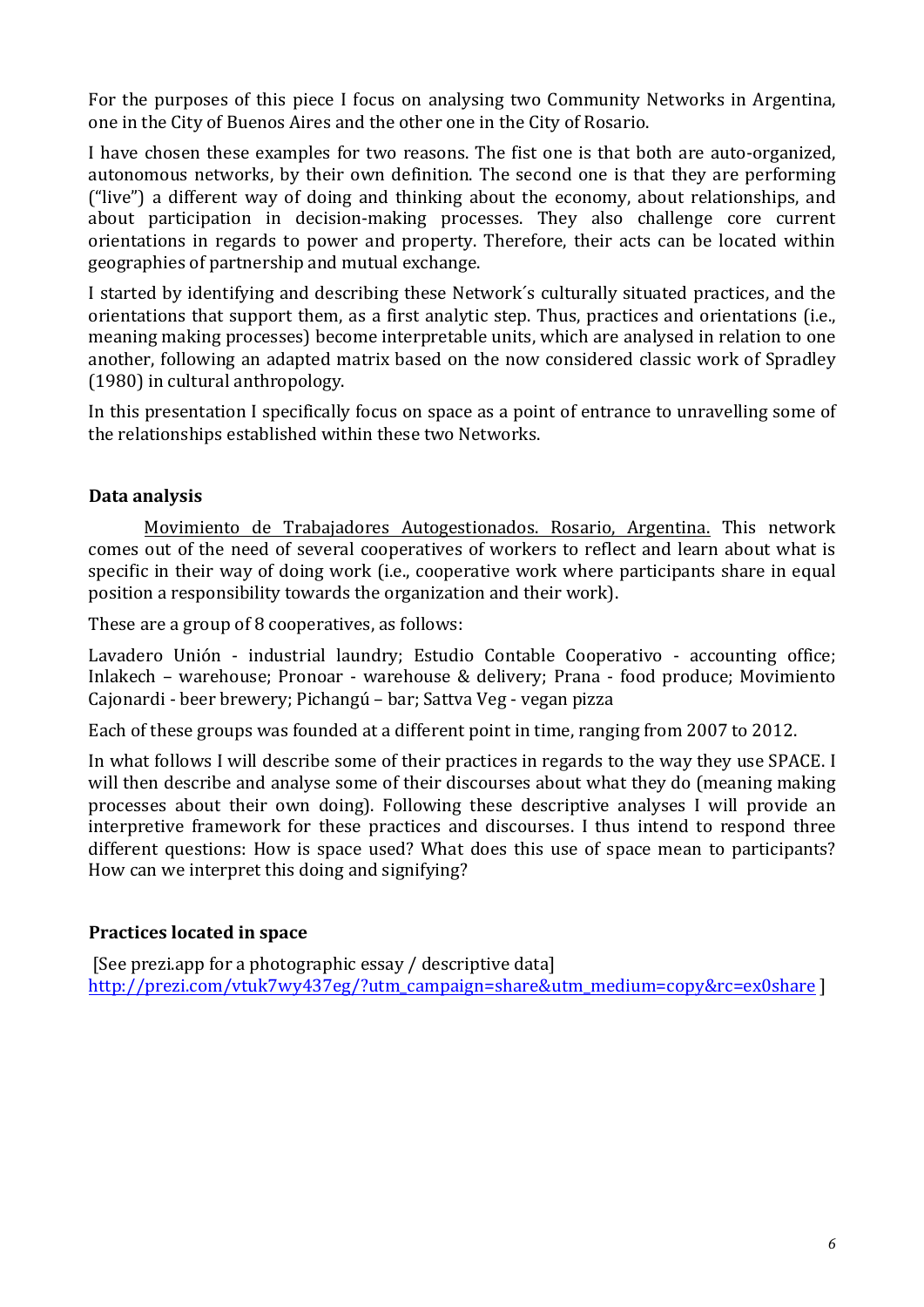For the purposes of this piece I focus on analysing two Community Networks in Argentina, one in the City of Buenos Aires and the other one in the City of Rosario.

I have chosen these examples for two reasons. The fist one is that both are auto-organized, autonomous networks, by their own definition. The second one is that they are performing ("live") a different way of doing and thinking about the economy, about relationships, and about participation in decision-making processes. They also challenge core current orientations in regards to power and property. Therefore, their acts can be located within geographies of partnership and mutual exchange.

I started by identifying and describing these Network's culturally situated practices, and the orientations that support them, as a first analytic step. Thus, practices and orientations (i.e., meaning making processes) become interpretable units, which are analysed in relation to one another, following an adapted matrix based on the now considered classic work of Spradley (1980) in cultural anthropology.

In this presentation I specifically focus on space as a point of entrance to unravelling some of the relationships established within these two Networks.

## **Data analysis**

Movimiento de Trabajadores Autogestionados. Rosario, Argentina. This network comes out of the need of several cooperatives of workers to reflect and learn about what is specific in their way of doing work (i.e., cooperative work where participants share in equal position a responsibility towards the organization and their work).

These are a group of 8 cooperatives, as follows:

Lavadero Unión - industrial laundry; Estudio Contable Cooperativo - accounting office; Inlakech – warehouse; Pronoar - warehouse & delivery; Prana - food produce; Movimiento Cajonardi - beer brewery; Pichangú – bar; Sattva Veg - vegan pizza

Each of these groups was founded at a different point in time, ranging from 2007 to 2012.

In what follows I will describe some of their practices in regards to the way they use SPACE. I will then describe and analyse some of their discourses about what they do (meaning making processes about their own doing). Following these descriptive analyses I will provide an interpretive framework for these practices and discourses. I thus intend to respond three different questions: How is space used? What does this use of space mean to participants? How can we interpret this doing and signifying?

# **Practices located in space**

[See prezi.app for a photographic essay / descriptive data] http://prezi.com/vtuk7wy437eg/?utm\_campaign=share&utm\_medium=copy&rc=ex0share ]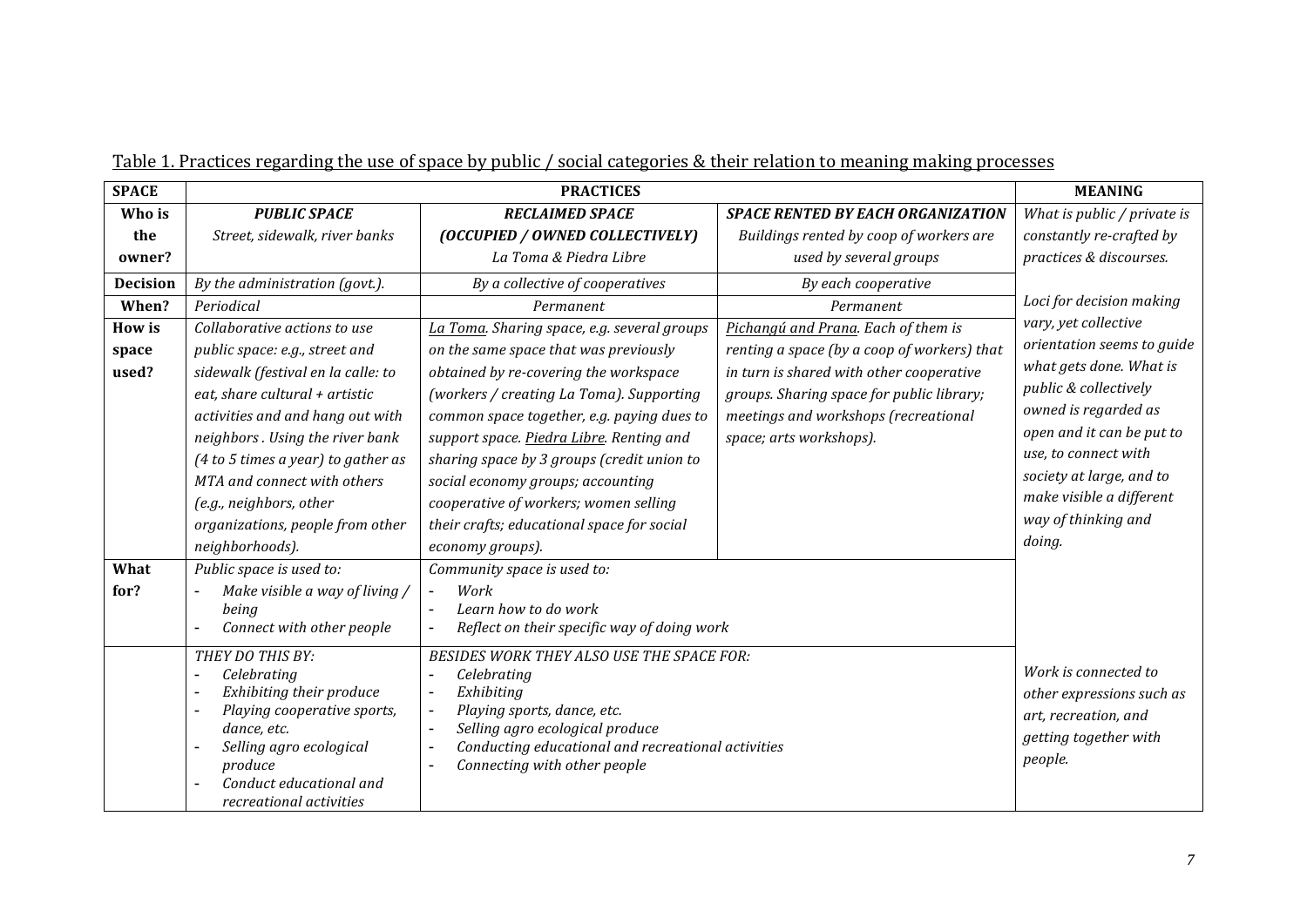| <b>SPACE</b>    |                                                                                                                                                                                                                                                                                                                                        | <b>MEANING</b>                                                                                                                                                                                                                                                                                                                                                                                                     |                                                                                                                                                                                                         |                                                                                                                                                                                                                                                                                                          |
|-----------------|----------------------------------------------------------------------------------------------------------------------------------------------------------------------------------------------------------------------------------------------------------------------------------------------------------------------------------------|--------------------------------------------------------------------------------------------------------------------------------------------------------------------------------------------------------------------------------------------------------------------------------------------------------------------------------------------------------------------------------------------------------------------|---------------------------------------------------------------------------------------------------------------------------------------------------------------------------------------------------------|----------------------------------------------------------------------------------------------------------------------------------------------------------------------------------------------------------------------------------------------------------------------------------------------------------|
| Who is          | <b>PUBLIC SPACE</b>                                                                                                                                                                                                                                                                                                                    | <b>RECLAIMED SPACE</b>                                                                                                                                                                                                                                                                                                                                                                                             | <b>SPACE RENTED BY EACH ORGANIZATION</b>                                                                                                                                                                | What is public / private is                                                                                                                                                                                                                                                                              |
| the             | Street, sidewalk, river banks                                                                                                                                                                                                                                                                                                          | (OCCUPIED / OWNED COLLECTIVELY)                                                                                                                                                                                                                                                                                                                                                                                    | Buildings rented by coop of workers are                                                                                                                                                                 | constantly re-crafted by                                                                                                                                                                                                                                                                                 |
| owner?          |                                                                                                                                                                                                                                                                                                                                        | La Toma & Piedra Libre                                                                                                                                                                                                                                                                                                                                                                                             | used by several groups                                                                                                                                                                                  | practices & discourses.                                                                                                                                                                                                                                                                                  |
| <b>Decision</b> | By the administration (govt.).                                                                                                                                                                                                                                                                                                         | By a collective of cooperatives                                                                                                                                                                                                                                                                                                                                                                                    | By each cooperative                                                                                                                                                                                     | Loci for decision making<br>vary, yet collective<br>orientation seems to guide<br>what gets done. What is<br>public & collectively<br>owned is regarded as<br>open and it can be put to<br>use, to connect with<br>society at large, and to<br>make visible a different<br>way of thinking and<br>doing. |
| When?           | Periodical                                                                                                                                                                                                                                                                                                                             | Permanent                                                                                                                                                                                                                                                                                                                                                                                                          | Permanent                                                                                                                                                                                               |                                                                                                                                                                                                                                                                                                          |
| <b>How is</b>   | Collaborative actions to use                                                                                                                                                                                                                                                                                                           | La Toma. Sharing space, e.g. several groups                                                                                                                                                                                                                                                                                                                                                                        | Pichangú and Prana. Each of them is                                                                                                                                                                     |                                                                                                                                                                                                                                                                                                          |
| space<br>used?  | public space: e.g., street and<br>sidewalk (festival en la calle: to<br>eat, share cultural + artistic<br>activities and and hang out with<br>neighbors. Using the river bank<br>$(4 to 5 times a year)$ to gather as<br>MTA and connect with others<br>(e.g., neighbors, other<br>organizations, people from other<br>neighborhoods). | on the same space that was previously<br>obtained by re-covering the workspace<br>(workers / creating La Toma). Supporting<br>common space together, e.g. paying dues to<br>support space. Piedra Libre. Renting and<br>sharing space by 3 groups (credit union to<br>social economy groups; accounting<br>cooperative of workers; women selling<br>their crafts; educational space for social<br>economy groups). | renting a space (by a coop of workers) that<br>in turn is shared with other cooperative<br>groups. Sharing space for public library;<br>meetings and workshops (recreational<br>space; arts workshops). |                                                                                                                                                                                                                                                                                                          |
| What            | Public space is used to:                                                                                                                                                                                                                                                                                                               | Community space is used to:                                                                                                                                                                                                                                                                                                                                                                                        |                                                                                                                                                                                                         |                                                                                                                                                                                                                                                                                                          |
| for?            | Make visible a way of living /<br>being<br>Connect with other people                                                                                                                                                                                                                                                                   | Work<br>Learn how to do work<br>Reflect on their specific way of doing work<br>$\overline{\phantom{a}}$                                                                                                                                                                                                                                                                                                            |                                                                                                                                                                                                         |                                                                                                                                                                                                                                                                                                          |
|                 | THEY DO THIS BY:<br>Celebrating<br>Exhibiting their produce<br>Playing cooperative sports,<br>dance, etc.<br>Selling agro ecological<br>produce<br>Conduct educational and<br>recreational activities                                                                                                                                  | BESIDES WORK THEY ALSO USE THE SPACE FOR:<br>Celebrating<br>Exhibiting<br>$\overline{\phantom{a}}$<br>Playing sports, dance, etc.<br>$\overline{\phantom{a}}$<br>Selling agro ecological produce<br>$\overline{a}$<br>Conducting educational and recreational activities<br>$\blacksquare$<br>Connecting with other people                                                                                         | Work is connected to<br>other expressions such as<br>art, recreation, and<br>getting together with<br>people.                                                                                           |                                                                                                                                                                                                                                                                                                          |

| Table 1. Practices regarding the use of space by public / social categories & their relation to meaning making processes |  |  |  |
|--------------------------------------------------------------------------------------------------------------------------|--|--|--|
|                                                                                                                          |  |  |  |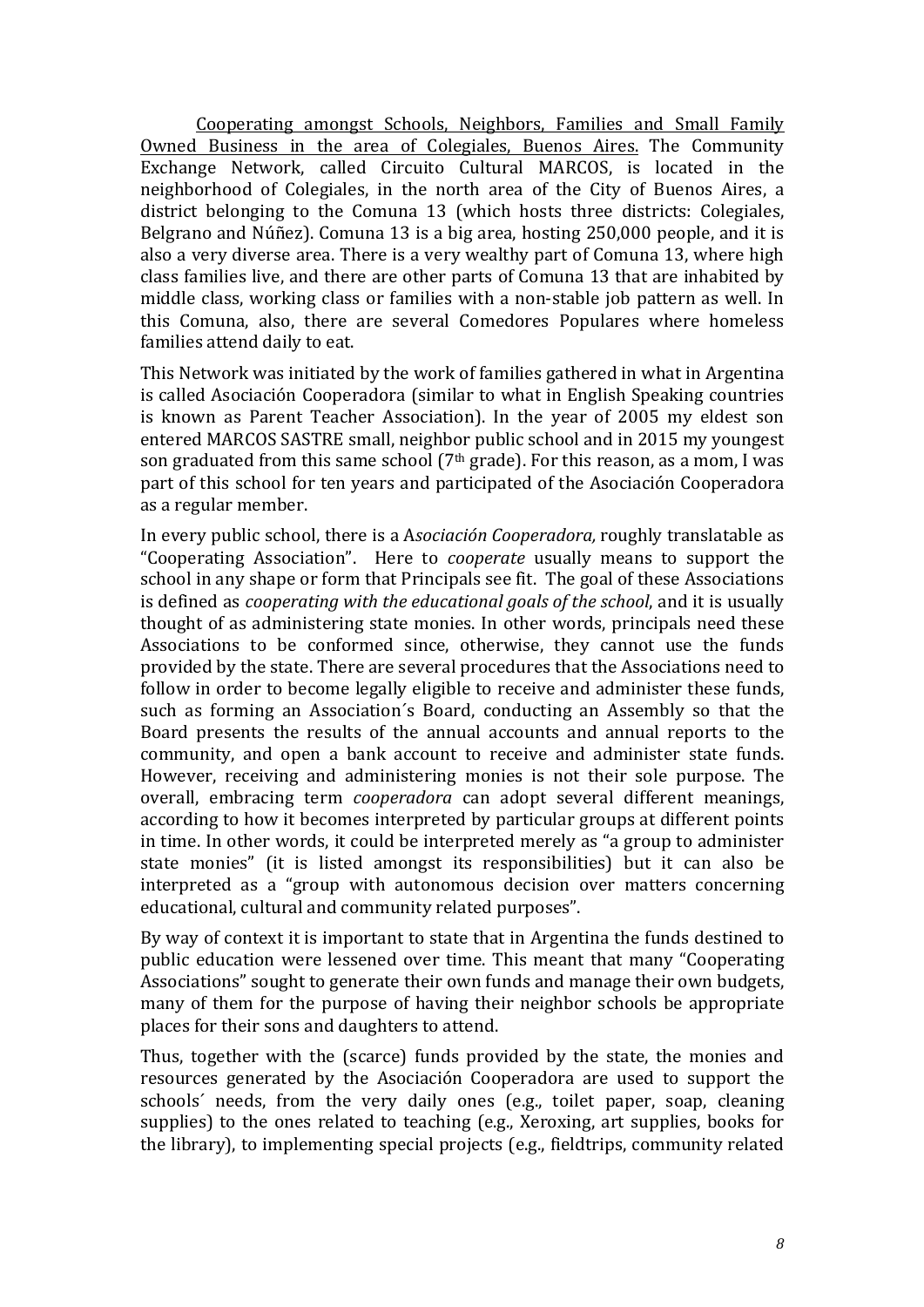Cooperating amongst Schools, Neighbors, Families and Small Family Owned Business in the area of Colegiales, Buenos Aires. The Community Exchange Network, called Circuito Cultural MARCOS, is located in the neighborhood of Colegiales, in the north area of the City of Buenos Aires, a district belonging to the Comuna 13 (which hosts three districts: Colegiales, Belgrano and Núñez). Comuna 13 is a big area, hosting 250,000 people, and it is also a very diverse area. There is a very wealthy part of Comuna 13, where high class families live, and there are other parts of Comuna 13 that are inhabited by middle class, working class or families with a non-stable job pattern as well. In this Comuna, also, there are several Comedores Populares where homeless families attend daily to eat.

This Network was initiated by the work of families gathered in what in Argentina is called Asociación Cooperadora (similar to what in English Speaking countries is known as Parent Teacher Association). In the year of  $2005$  my eldest son entered MARCOS SASTRE small, neighbor public school and in 2015 my voungest son graduated from this same school ( $7<sup>th</sup>$  grade). For this reason, as a mom, I was part of this school for ten years and participated of the Asociación Cooperadora as a regular member.

In every public school, there is a Asociación Cooperadora, roughly translatable as "Cooperating Association". Here to *cooperate* usually means to support the school in any shape or form that Principals see fit. The goal of these Associations is defined as *cooperating* with the educational goals of the school, and it is usually thought of as administering state monies. In other words, principals need these Associations to be conformed since, otherwise, they cannot use the funds provided by the state. There are several procedures that the Associations need to follow in order to become legally eligible to receive and administer these funds, such as forming an Association's Board, conducting an Assembly so that the Board presents the results of the annual accounts and annual reports to the community, and open a bank account to receive and administer state funds. However, receiving and administering monies is not their sole purpose. The overall, embracing term *cooperadora* can adopt several different meanings, according to how it becomes interpreted by particular groups at different points in time. In other words, it could be interpreted merely as "a group to administer state monies" (it is listed amongst its responsibilities) but it can also be interpreted as a "group with autonomous decision over matters concerning educational, cultural and community related purposes".

By way of context it is important to state that in Argentina the funds destined to public education were lessened over time. This meant that many "Cooperating Associations" sought to generate their own funds and manage their own budgets, many of them for the purpose of having their neighbor schools be appropriate places for their sons and daughters to attend.

Thus, together with the (scarce) funds provided by the state, the monies and resources generated by the Asociación Cooperadora are used to support the schools' needs, from the very daily ones (e.g., toilet paper, soap, cleaning supplies) to the ones related to teaching (e.g., Xeroxing, art supplies, books for the library), to implementing special projects (e.g., fieldtrips, community related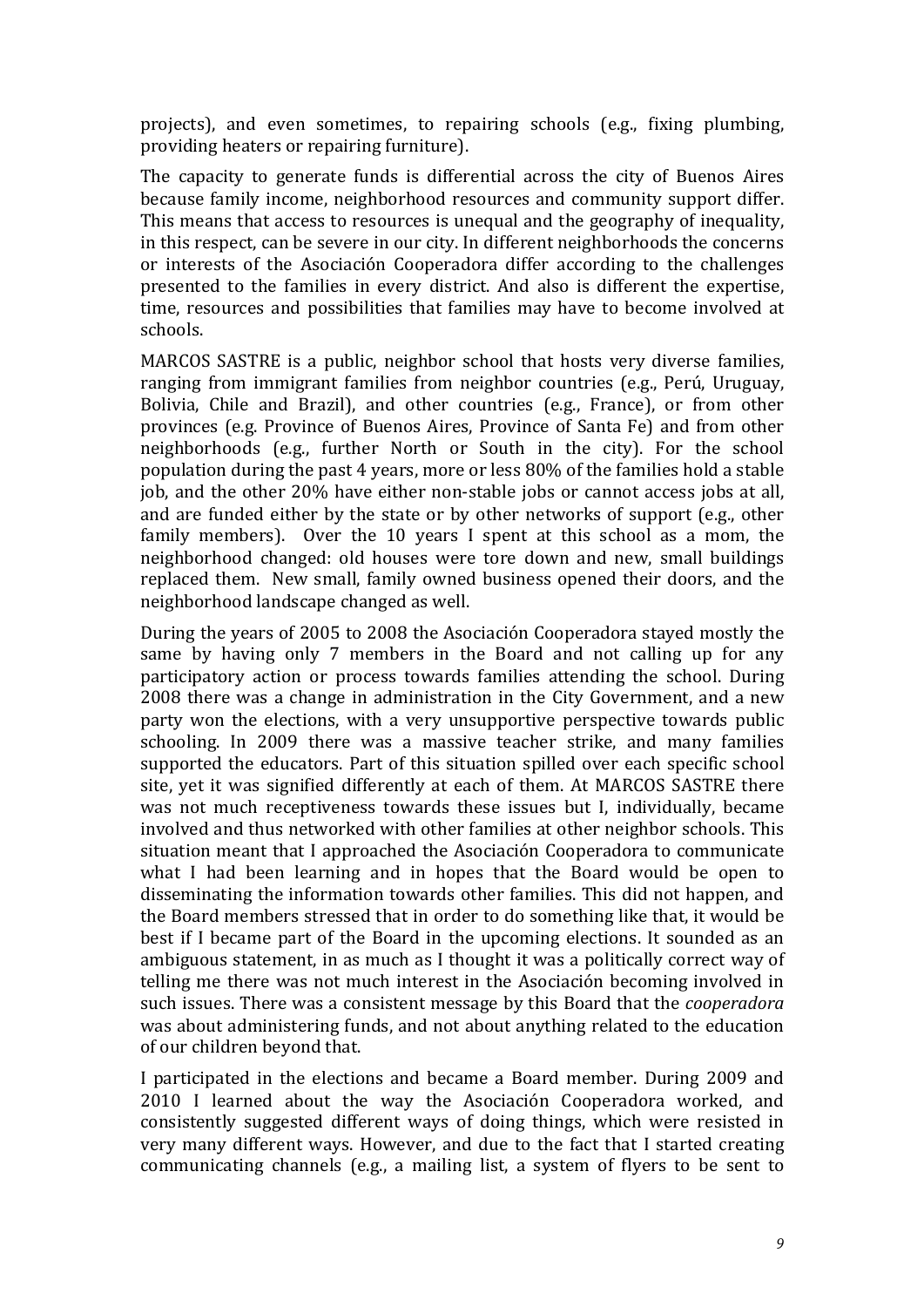projects), and even sometimes, to repairing schools (e.g., fixing plumbing, providing heaters or repairing furniture).

The capacity to generate funds is differential across the city of Buenos Aires because family income, neighborhood resources and community support differ. This means that access to resources is unequal and the geography of inequality, in this respect, can be severe in our city. In different neighborhoods the concerns or interests of the Asociación Cooperadora differ according to the challenges presented to the families in every district. And also is different the expertise, time, resources and possibilities that families may have to become involved at schools. 

MARCOS SASTRE is a public, neighbor school that hosts very diverse families, ranging from immigrant families from neighbor countries (e.g., Perú, Uruguay, Bolivia, Chile and Brazil), and other countries (e.g., France), or from other provinces (e.g. Province of Buenos Aires, Province of Santa Fe) and from other neighborhoods (e.g., further North or South in the city). For the school population during the past 4 years, more or less 80% of the families hold a stable job, and the other 20% have either non-stable jobs or cannot access jobs at all, and are funded either by the state or by other networks of support  $(e.g.,\ other$ family members). Over the 10 years I spent at this school as a mom, the neighborhood changed: old houses were tore down and new, small buildings replaced them. New small, family owned business opened their doors, and the neighborhood landscape changed as well.

During the years of 2005 to 2008 the Asociación Cooperadora stayed mostly the same by having only 7 members in the Board and not calling up for any participatory action or process towards families attending the school. During 2008 there was a change in administration in the City Government, and a new party won the elections, with a very unsupportive perspective towards public schooling. In 2009 there was a massive teacher strike, and many families supported the educators. Part of this situation spilled over each specific school site, yet it was signified differently at each of them. At MARCOS SASTRE there was not much receptiveness towards these issues but I, individually, became involved and thus networked with other families at other neighbor schools. This situation meant that I approached the Asociación Cooperadora to communicate what I had been learning and in hopes that the Board would be open to disseminating the information towards other families. This did not happen, and the Board members stressed that in order to do something like that, it would be best if I became part of the Board in the upcoming elections. It sounded as an ambiguous statement, in as much as I thought it was a politically correct way of telling me there was not much interest in the Asociación becoming involved in such issues. There was a consistent message by this Board that the *cooperadora* was about administering funds, and not about anything related to the education of our children beyond that.

I participated in the elections and became a Board member. During 2009 and 2010 I learned about the way the Asociación Cooperadora worked, and consistently suggested different ways of doing things, which were resisted in very many different ways. However, and due to the fact that I started creating communicating channels (e.g., a mailing list, a system of flyers to be sent to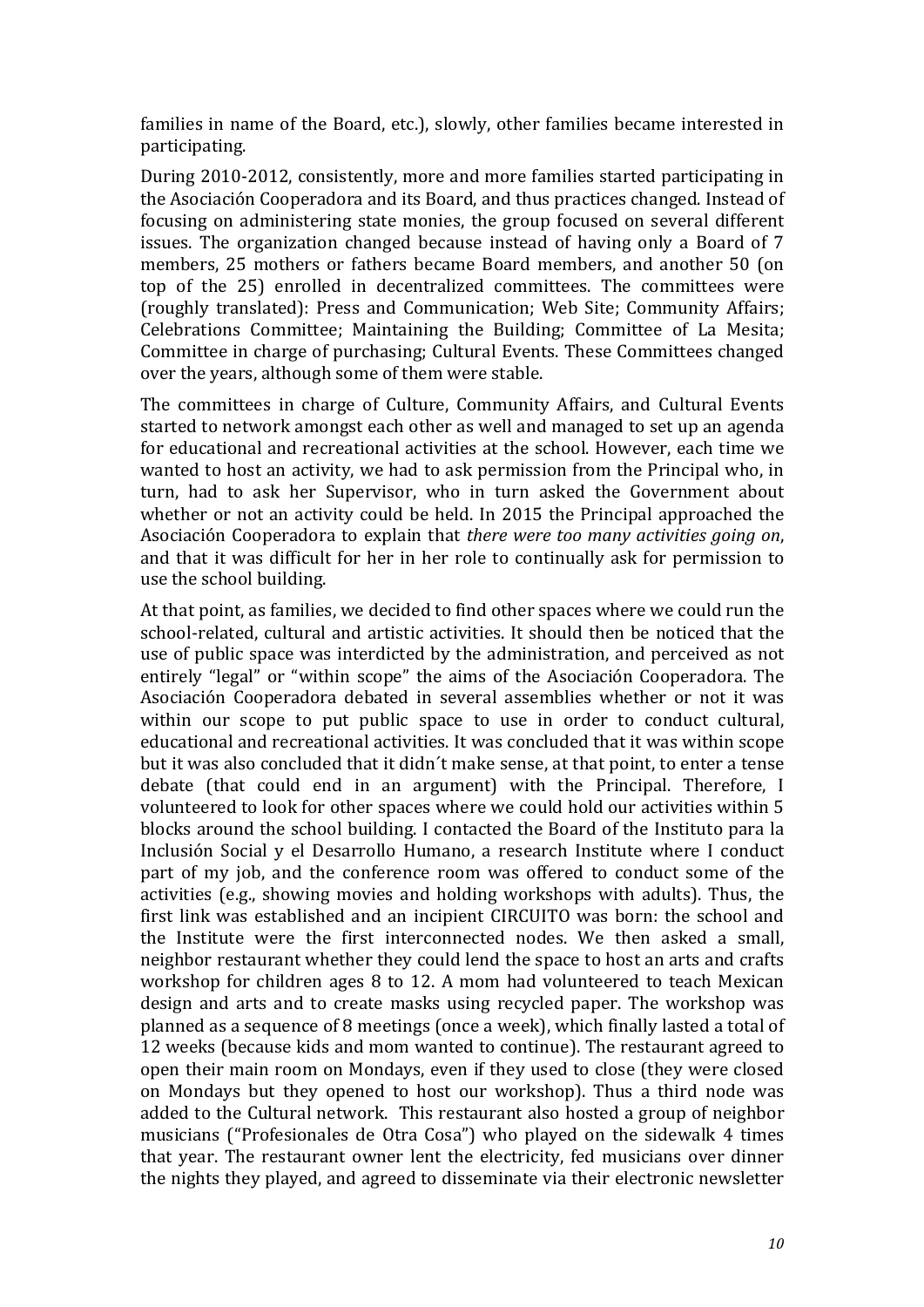families in name of the Board, etc.), slowly, other families became interested in participating. 

During 2010-2012, consistently, more and more families started participating in the Asociación Cooperadora and its Board, and thus practices changed. Instead of focusing on administering state monies, the group focused on several different issues. The organization changed because instead of having only a Board of 7 members, 25 mothers or fathers became Board members, and another 50 (on top of the 25) enrolled in decentralized committees. The committees were (roughly translated): Press and Communication; Web Site; Community Affairs; Celebrations Committee; Maintaining the Building; Committee of La Mesita; Committee in charge of purchasing; Cultural Events. These Committees changed over the years, although some of them were stable.

The committees in charge of Culture, Community Affairs, and Cultural Events started to network amongst each other as well and managed to set up an agenda for educational and recreational activities at the school. However, each time we wanted to host an activity, we had to ask permission from the Principal who, in turn, had to ask her Supervisor, who in turn asked the Government about whether or not an activity could be held. In 2015 the Principal approached the Asociación Cooperadora to explain that *there were too many activities going on*, and that it was difficult for her in her role to continually ask for permission to use the school building.

At that point, as families, we decided to find other spaces where we could run the school-related, cultural and artistic activities. It should then be noticed that the use of public space was interdicted by the administration, and perceived as not entirely "legal" or "within scope" the aims of the Asociación Cooperadora. The Asociación Cooperadora debated in several assemblies whether or not it was within our scope to put public space to use in order to conduct cultural, educational and recreational activities. It was concluded that it was within scope but it was also concluded that it didn't make sense, at that point, to enter a tense debate (that could end in an argument) with the Principal. Therefore, I volunteered to look for other spaces where we could hold our activities within 5 blocks around the school building. I contacted the Board of the Instituto para la Inclusión Social y el Desarrollo Humano, a research Institute where I conduct part of my job, and the conference room was offered to conduct some of the activities (e.g., showing movies and holding workshops with adults). Thus, the first link was established and an incipient CIRCUITO was born: the school and the Institute were the first interconnected nodes. We then asked a small, neighbor restaurant whether they could lend the space to host an arts and crafts workshop for children ages  $8$  to 12. A mom had volunteered to teach Mexican design and arts and to create masks using recycled paper. The workshop was planned as a sequence of 8 meetings (once a week), which finally lasted a total of 12 weeks (because kids and mom wanted to continue). The restaurant agreed to open their main room on Mondays, even if they used to close (they were closed on Mondays but they opened to host our workshop). Thus a third node was added to the Cultural network. This restaurant also hosted a group of neighbor musicians ("Profesionales de Otra Cosa") who played on the sidewalk 4 times that year. The restaurant owner lent the electricity, fed musicians over dinner the nights they played, and agreed to disseminate via their electronic newsletter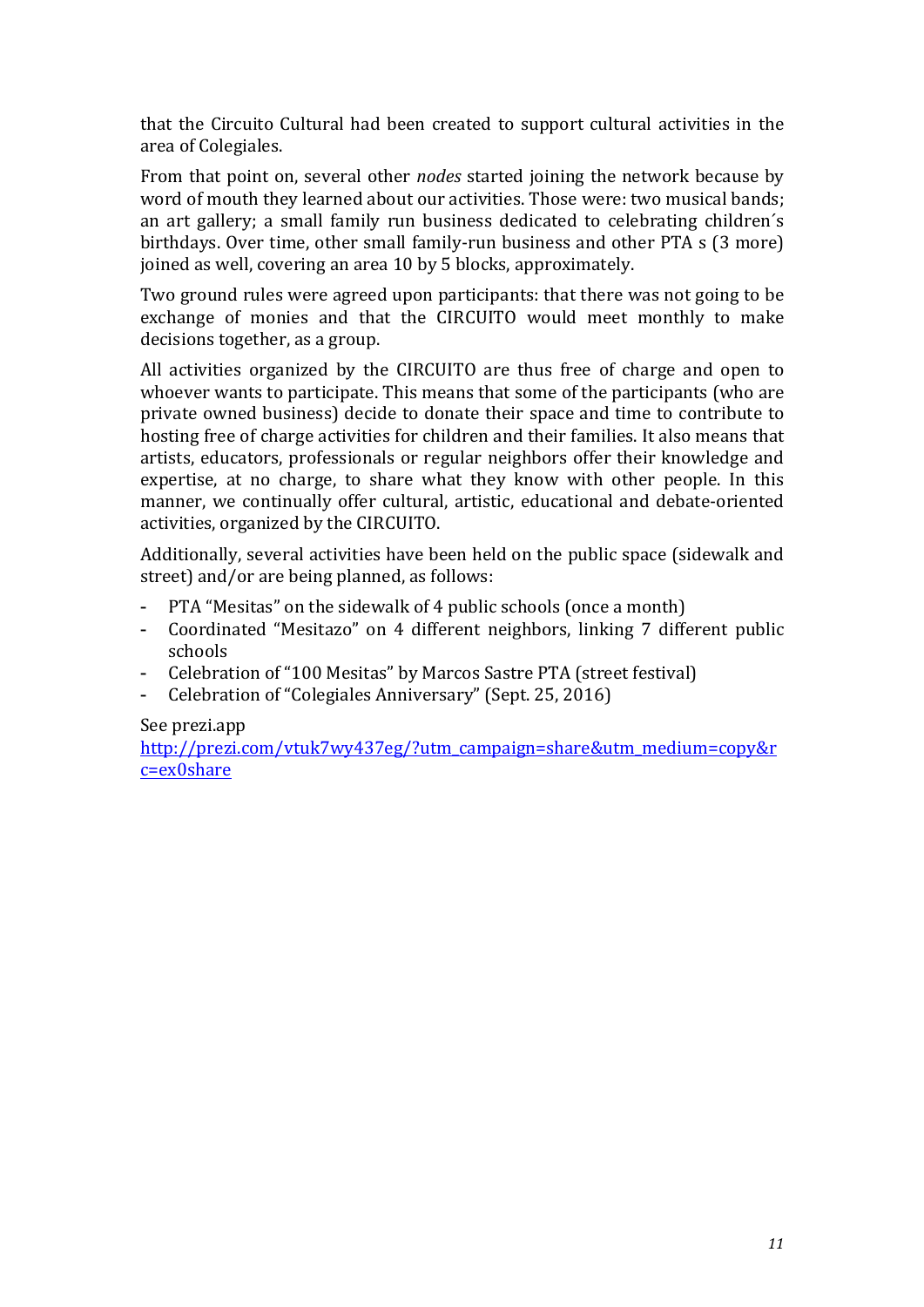that the Circuito Cultural had been created to support cultural activities in the area of Colegiales.

From that point on, several other *nodes* started joining the network because by word of mouth they learned about our activities. Those were: two musical bands; an art gallery; a small family run business dedicated to celebrating children's birthdays. Over time, other small family-run business and other PTA s (3 more) joined as well, covering an area 10 by 5 blocks, approximately.

Two ground rules were agreed upon participants: that there was not going to be exchange of monies and that the CIRCUITO would meet monthly to make decisions together, as a group.

All activities organized by the CIRCUITO are thus free of charge and open to whoever wants to participate. This means that some of the participants (who are private owned business) decide to donate their space and time to contribute to hosting free of charge activities for children and their families. It also means that artists, educators, professionals or regular neighbors offer their knowledge and expertise, at no charge, to share what they know with other people. In this manner, we continually offer cultural, artistic, educational and debate-oriented activities, organized by the CIRCUITO.

Additionally, several activities have been held on the public space (sidewalk and street) and/or are being planned, as follows:

- PTA "Mesitas" on the sidewalk of 4 public schools (once a month)
- Coordinated "Mesitazo" on 4 different neighbors, linking 7 different public schools
- Celebration of "100 Mesitas" by Marcos Sastre PTA (street festival)
- Celebration of "Colegiales Anniversary" (Sept. 25, 2016)

#### See prezi.app

http://prezi.com/vtuk7wy437eg/?utm\_campaign=share&utm\_medium=copy&r c=ex0share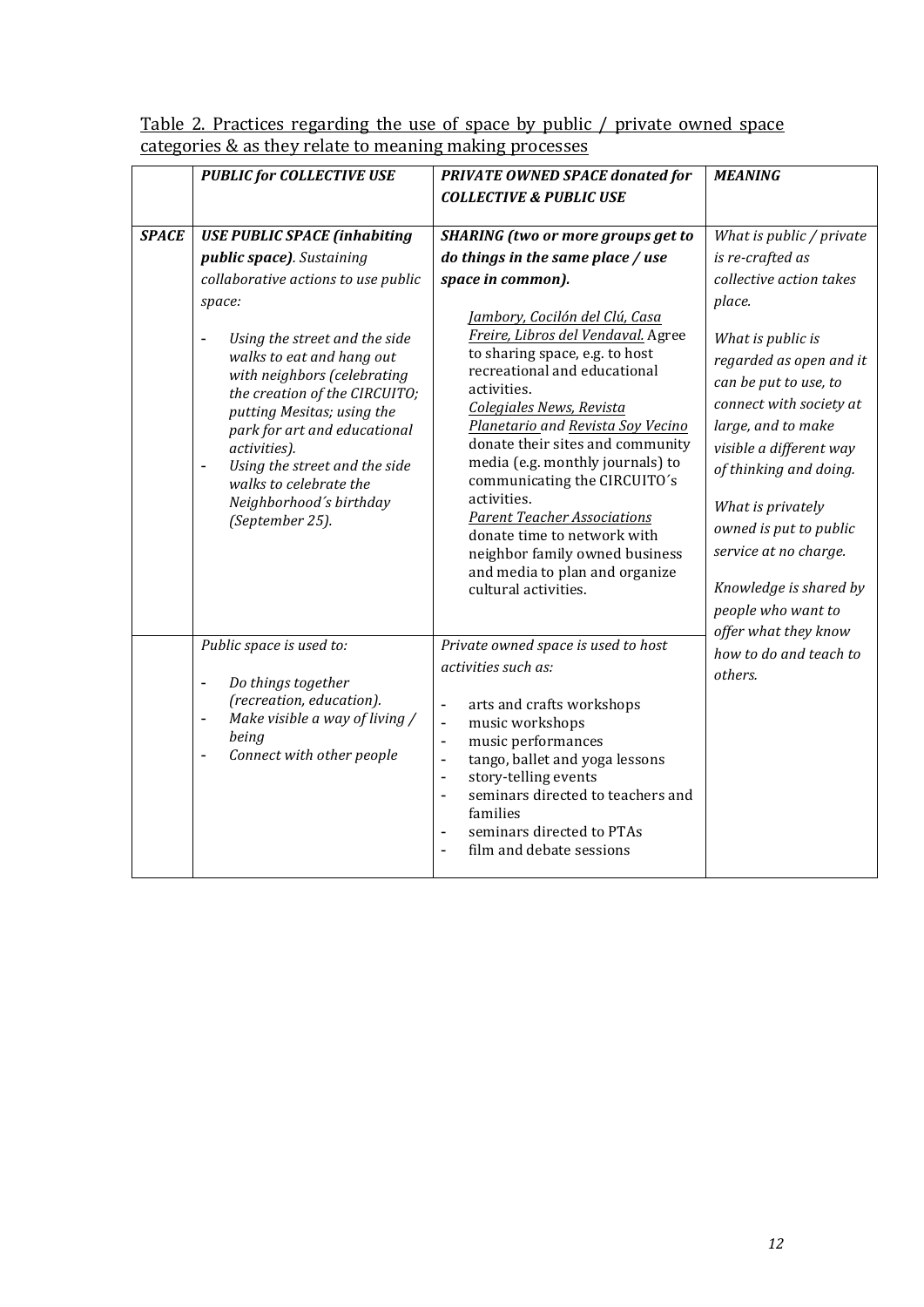|              | <b>PUBLIC for COLLECTIVE USE</b>                                                                                                                                                                                                                                                                                                                                                                                                                            | <b>PRIVATE OWNED SPACE donated for</b><br><b>COLLECTIVE &amp; PUBLIC USE</b>                                                                                                                                                                                                                                                                                                                                                                                                                                                                                                                                                 | <b>MEANING</b>                                                                                                                                                                                                                                                                                                                                                                                                                                        |
|--------------|-------------------------------------------------------------------------------------------------------------------------------------------------------------------------------------------------------------------------------------------------------------------------------------------------------------------------------------------------------------------------------------------------------------------------------------------------------------|------------------------------------------------------------------------------------------------------------------------------------------------------------------------------------------------------------------------------------------------------------------------------------------------------------------------------------------------------------------------------------------------------------------------------------------------------------------------------------------------------------------------------------------------------------------------------------------------------------------------------|-------------------------------------------------------------------------------------------------------------------------------------------------------------------------------------------------------------------------------------------------------------------------------------------------------------------------------------------------------------------------------------------------------------------------------------------------------|
| <b>SPACE</b> | <b>USE PUBLIC SPACE (inhabiting</b><br>public space). Sustaining<br>collaborative actions to use public<br>space:<br>Using the street and the side<br>walks to eat and hang out<br>with neighbors (celebrating<br>the creation of the CIRCUITO;<br>putting Mesitas; using the<br>park for art and educational<br>activities).<br>Using the street and the side<br>$\qquad \qquad -$<br>walks to celebrate the<br>Neighborhood's birthday<br>(September 25). | <b>SHARING</b> (two or more groups get to<br>do things in the same place / use<br>space in common).<br>Jambory, Cocilón del Clú, Casa<br>Freire, Libros del Vendaval. Agree<br>to sharing space, e.g. to host<br>recreational and educational<br>activities.<br><b>Colegiales News, Revista</b><br>Planetario and Revista Soy Vecino<br>donate their sites and community<br>media (e.g. monthly journals) to<br>communicating the CIRCUITO's<br>activities.<br><b>Parent Teacher Associations</b><br>donate time to network with<br>neighbor family owned business<br>and media to plan and organize<br>cultural activities. | What is public / private<br>is re-crafted as<br>collective action takes<br>place.<br>What is public is<br>regarded as open and it<br>can be put to use, to<br>connect with society at<br>large, and to make<br>visible a different way<br>of thinking and doing.<br>What is privately<br>owned is put to public<br>service at no charge.<br>Knowledge is shared by<br>people who want to<br>offer what they know<br>how to do and teach to<br>others. |
|              | Public space is used to:<br>Do things together<br>$\overline{\phantom{a}}$<br>(recreation, education).<br>Make visible a way of living /<br>$\overline{\phantom{0}}$<br>being<br>Connect with other people<br>$\overline{a}$                                                                                                                                                                                                                                | Private owned space is used to host<br>activities such as:<br>arts and crafts workshops<br>music workshops<br>$\blacksquare$<br>music performances<br>$\frac{1}{2}$<br>tango, ballet and yoga lessons<br>$\blacksquare$<br>story-telling events<br>$\overline{\phantom{0}}$<br>seminars directed to teachers and<br>$\overline{a}$<br>families<br>seminars directed to PTAs<br>$\qquad \qquad \blacksquare$<br>film and debate sessions                                                                                                                                                                                      |                                                                                                                                                                                                                                                                                                                                                                                                                                                       |

## Table 2. Practices regarding the use of space by public / private owned space categories & as they relate to meaning making processes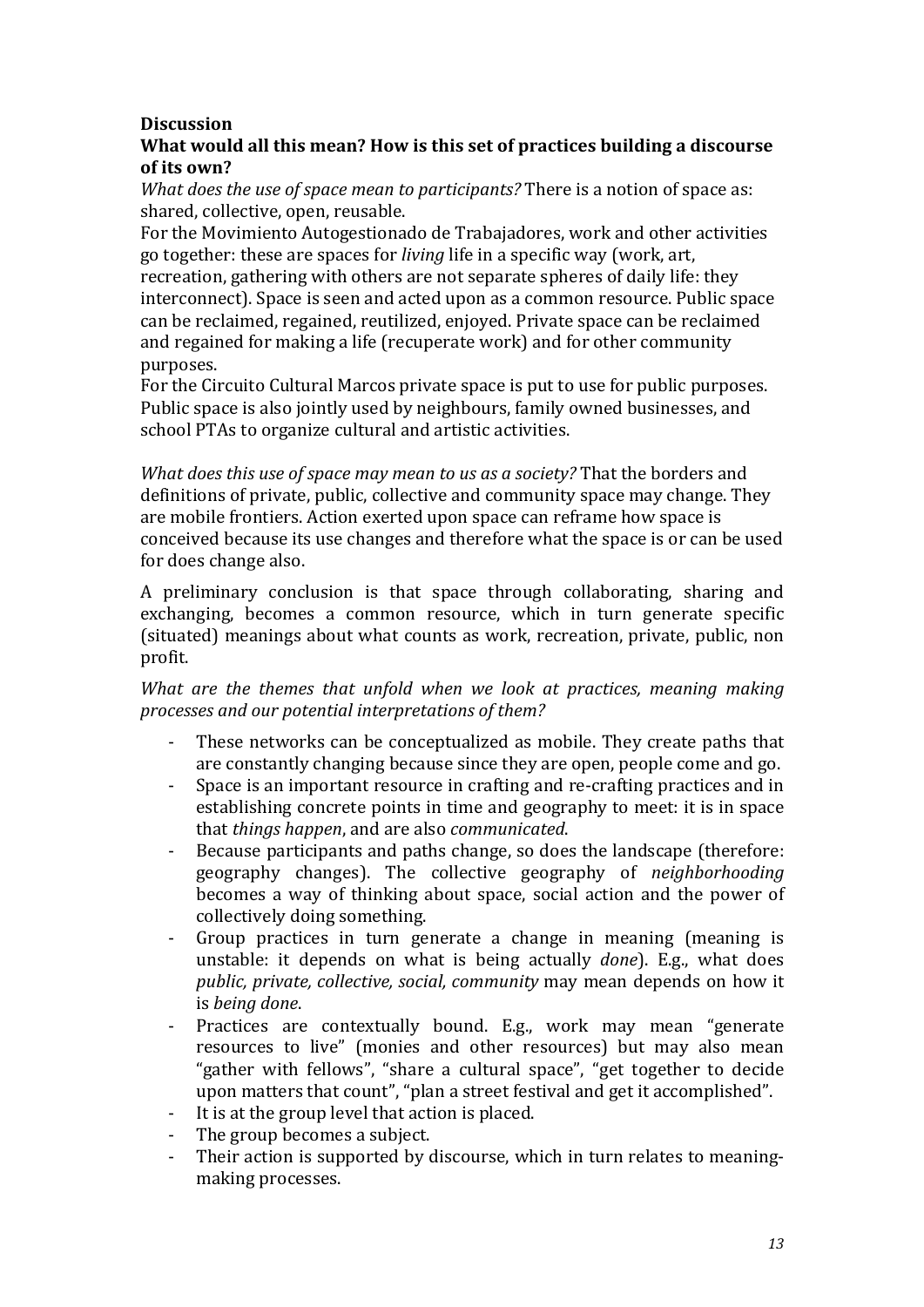# **Discussion**

## What would all this mean? How is this set of practices building a discourse of its own?

*What does the use of space mean to participants?* There is a notion of space as: shared, collective, open, reusable.

For the Movimiento Autogestionado de Trabajadores, work and other activities go together: these are spaces for *living* life in a specific way (work, art, recreation, gathering with others are not separate spheres of daily life: they interconnect). Space is seen and acted upon as a common resource. Public space can be reclaimed, regained, reutilized, enjoyed. Private space can be reclaimed and regained for making a life (recuperate work) and for other community purposes.

For the Circuito Cultural Marcos private space is put to use for public purposes. Public space is also jointly used by neighbours, family owned businesses, and school PTAs to organize cultural and artistic activities.

*What does this use of space may mean to us as a society?* That the borders and definitions of private, public, collective and community space may change. They are mobile frontiers. Action exerted upon space can reframe how space is conceived because its use changes and therefore what the space is or can be used for does change also.

A preliminary conclusion is that space through collaborating, sharing and exchanging, becomes a common resource, which in turn generate specific (situated) meanings about what counts as work, recreation, private, public, non profit.

*What are the themes that unfold when we look at practices, meaning making processes and our potential interpretations of them?*

- These networks can be conceptualized as mobile. They create paths that are constantly changing because since they are open, people come and go.
- Space is an important resource in crafting and re-crafting practices and in establishing concrete points in time and geography to meet: it is in space that *things happen*, and are also *communicated*.
- Because participants and paths change, so does the landscape (therefore: geography changes). The collective geography of *neighborhooding* becomes a way of thinking about space, social action and the power of collectively doing something.
- Group practices in turn generate a change in meaning (meaning is unstable: it depends on what is being actually *done*). E.g., what does *public, private, collective, social, community* may mean depends on how it is *being done*.
- Practices are contextually bound. E.g., work may mean "generate resources to live" (monies and other resources) but may also mean "gather with fellows", "share a cultural space", "get together to decide upon matters that count", "plan a street festival and get it accomplished".
- It is at the group level that action is placed.
- The group becomes a subject.
- Their action is supported by discourse, which in turn relates to meaningmaking processes.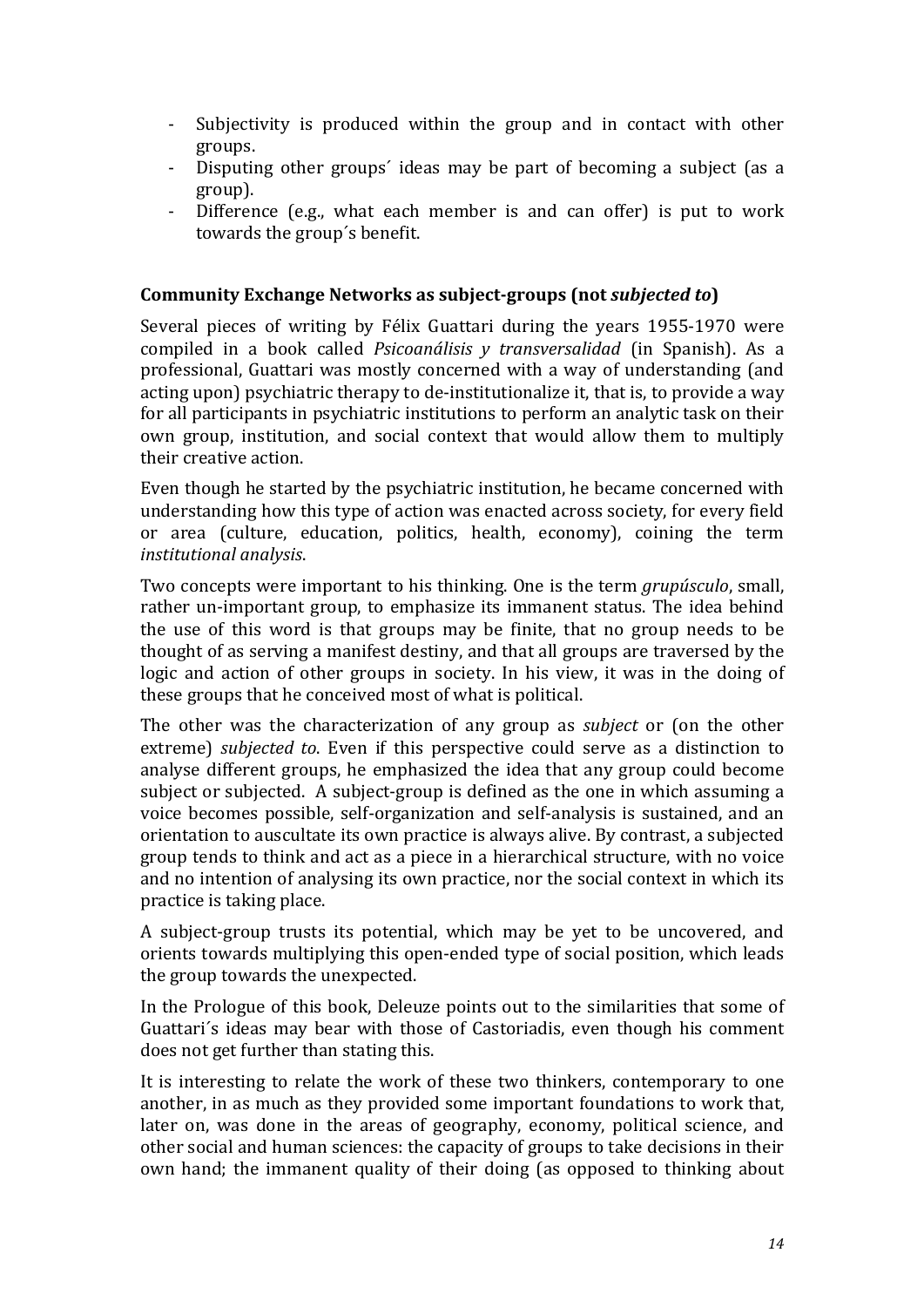- Subjectivity is produced within the group and in contact with other groups.
- Disputing other groups' ideas may be part of becoming a subject (as a group).
- Difference (e.g., what each member is and can offer) is put to work towards the group's benefit.

#### **Community Exchange Networks as subject-groups (not** *subjected to***)**

Several pieces of writing by Félix Guattari during the years 1955-1970 were compiled in a book called *Psicoanálisis* y *transversalidad* (in Spanish). As a professional, Guattari was mostly concerned with a way of understanding (and acting upon) psychiatric therapy to de-institutionalize it, that is, to provide a way for all participants in psychiatric institutions to perform an analytic task on their own group, institution, and social context that would allow them to multiply their creative action.

Even though he started by the psychiatric institution, he became concerned with understanding how this type of action was enacted across society, for every field or area (culture, education, politics, health, economy), coining the term *institutional analysis*. 

Two concepts were important to his thinking. One is the term *grupúsculo*, small, rather un-important group, to emphasize its immanent status. The idea behind the use of this word is that groups may be finite, that no group needs to be thought of as serving a manifest destiny, and that all groups are traversed by the logic and action of other groups in society. In his view, it was in the doing of these groups that he conceived most of what is political.

The other was the characterization of any group as *subject* or (on the other extreme) *subjected* to. Even if this perspective could serve as a distinction to analyse different groups, he emphasized the idea that any group could become subject or subjected. A subject-group is defined as the one in which assuming a voice becomes possible, self-organization and self-analysis is sustained, and an orientation to auscultate its own practice is always alive. By contrast, a subjected group tends to think and act as a piece in a hierarchical structure, with no voice and no intention of analysing its own practice, nor the social context in which its practice is taking place.

A subject-group trusts its potential, which may be yet to be uncovered, and orients towards multiplying this open-ended type of social position, which leads the group towards the unexpected.

In the Prologue of this book, Deleuze points out to the similarities that some of Guattari's ideas may bear with those of Castoriadis, even though his comment does not get further than stating this.

It is interesting to relate the work of these two thinkers, contemporary to one another, in as much as they provided some important foundations to work that, later on, was done in the areas of geography, economy, political science, and other social and human sciences: the capacity of groups to take decisions in their own hand; the immanent quality of their doing (as opposed to thinking about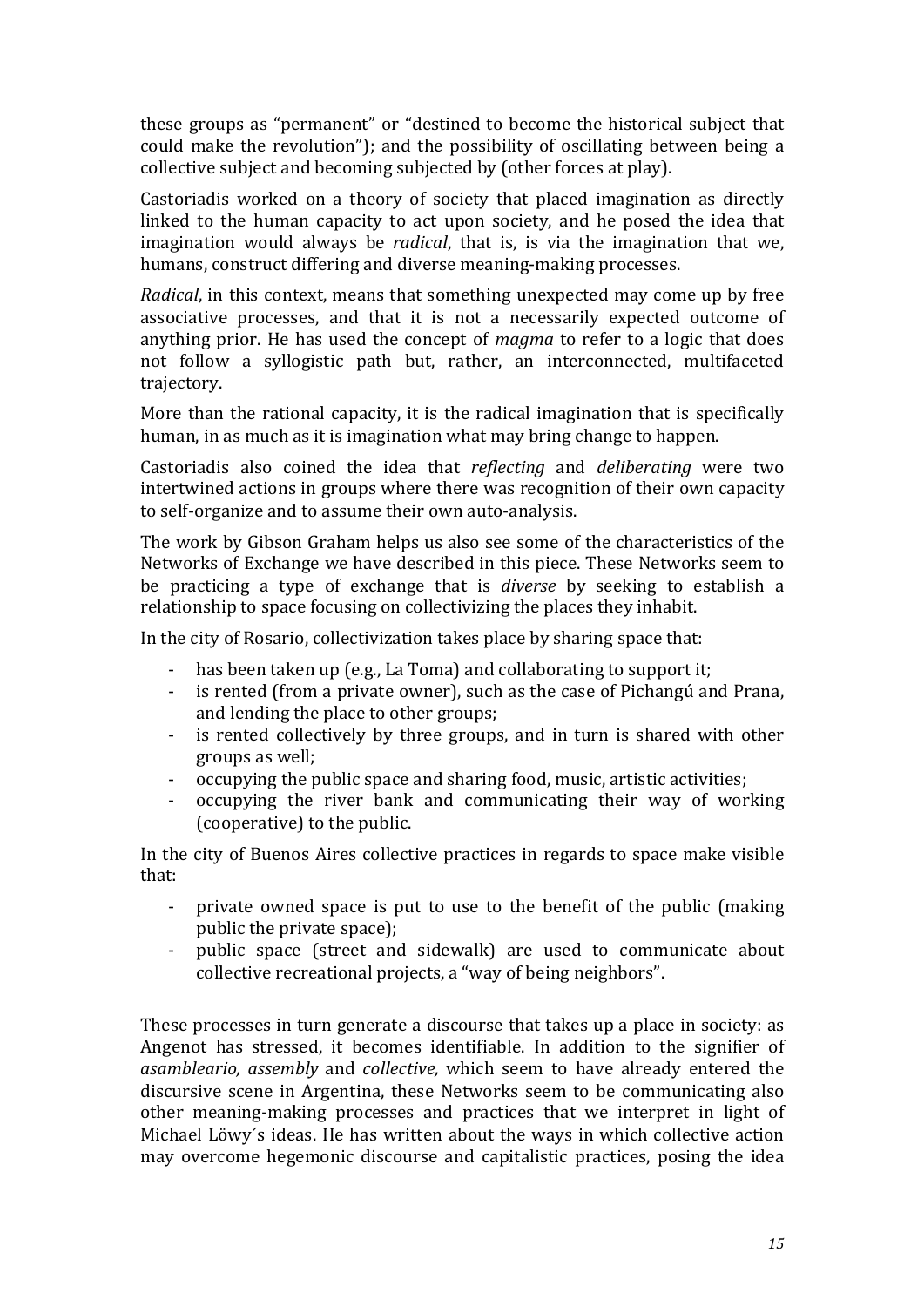these groups as "permanent" or "destined to become the historical subject that could make the revolution"); and the possibility of oscillating between being a collective subject and becoming subjected by (other forces at play).

Castoriadis worked on a theory of society that placed imagination as directly linked to the human capacity to act upon society, and he posed the idea that imagination would always be *radical*, that is, is via the imagination that we, humans, construct differing and diverse meaning-making processes.

*Radical*, in this context, means that something unexpected may come up by free associative processes, and that it is not a necessarily expected outcome of anything prior. He has used the concept of *magma* to refer to a logic that does not follow a syllogistic path but, rather, an interconnected, multifaceted trajectory. 

More than the rational capacity, it is the radical imagination that is specifically human, in as much as it is imagination what may bring change to happen.

Castoriadis also coined the idea that *reflecting* and *deliberating* were two intertwined actions in groups where there was recognition of their own capacity to self-organize and to assume their own auto-analysis.

The work by Gibson Graham helps us also see some of the characteristics of the Networks of Exchange we have described in this piece. These Networks seem to be practicing a type of exchange that is *diverse* by seeking to establish a relationship to space focusing on collectivizing the places they inhabit.

In the city of Rosario, collectivization takes place by sharing space that:

- has been taken up (e.g., La Toma) and collaborating to support it;
- is rented (from a private owner), such as the case of Pichangú and Prana, and lending the place to other groups;
- is rented collectively by three groups, and in turn is shared with other groups as well:
- occupying the public space and sharing food, music, artistic activities;
- occupying the river bank and communicating their way of working (cooperative) to the public.

In the city of Buenos Aires collective practices in regards to space make visible that:

- private owned space is put to use to the benefit of the public (making public the private space);
- public space (street and sidewalk) are used to communicate about collective recreational projects, a "way of being neighbors".

These processes in turn generate a discourse that takes up a place in society: as Angenot has stressed, it becomes identifiable. In addition to the signifier of *asambleario, assembly* and *collective*, which seem to have already entered the discursive scene in Argentina, these Networks seem to be communicating also other meaning-making processes and practices that we interpret in light of Michael Löwy's ideas. He has written about the ways in which collective action may overcome hegemonic discourse and capitalistic practices, posing the idea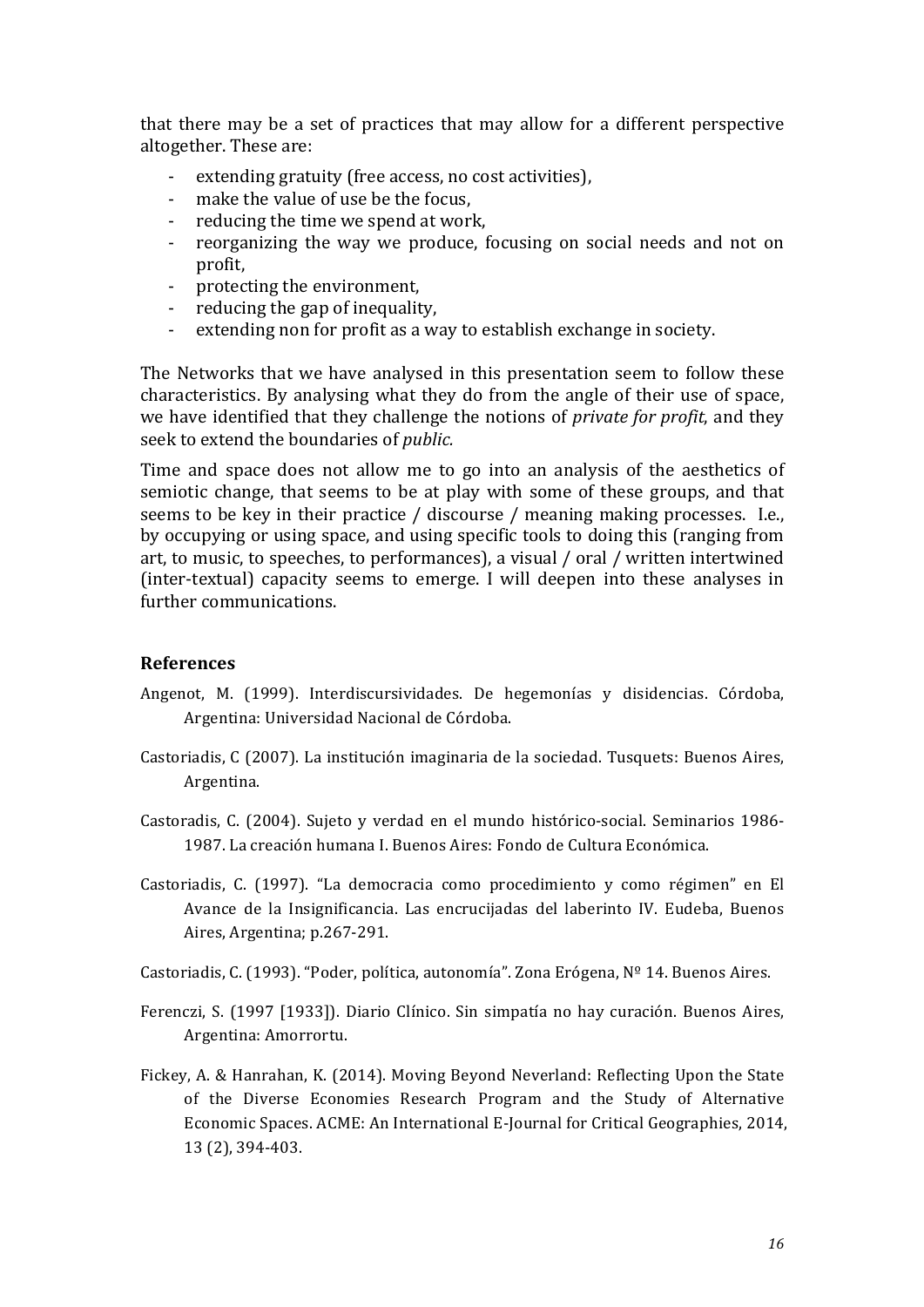that there may be a set of practices that may allow for a different perspective altogether. These are:

- extending gratuity (free access, no cost activities),
- make the value of use be the focus.
- reducing the time we spend at work,
- reorganizing the way we produce, focusing on social needs and not on profit,
- protecting the environment,
- reducing the gap of inequality.
- extending non for profit as a way to establish exchange in society.

The Networks that we have analysed in this presentation seem to follow these characteristics. By analysing what they do from the angle of their use of space, we have identified that they challenge the notions of *private for profit*, and they seek to extend the boundaries of *public*.

Time and space does not allow me to go into an analysis of the aesthetics of semiotic change, that seems to be at play with some of these groups, and that seems to be key in their practice  $/$  discourse  $/$  meaning making processes. I.e., by occupying or using space, and using specific tools to doing this (ranging from art, to music, to speeches, to performances), a visual / oral / written intertwined (inter-textual) capacity seems to emerge. I will deepen into these analyses in further communications.

#### **References**

- Angenot, M. (1999). Interdiscursividades. De hegemonías y disidencias. Córdoba, Argentina: Universidad Nacional de Córdoba.
- Castoriadis, C (2007). La institución imaginaria de la sociedad. Tusquets: Buenos Aires, Argentina.
- Castoradis, C. (2004). Sujeto y verdad en el mundo histórico-social. Seminarios 1986-1987. La creación humana I. Buenos Aires: Fondo de Cultura Económica.
- Castoriadis, C. (1997). "La democracia como procedimiento y como régimen" en El Avance de la Insignificancia. Las encrucijadas del laberinto IV. Eudeba, Buenos Aires, Argentina; p.267-291.
- Castoriadis, C. (1993). "Poder, política, autonomía". Zona Erógena,  $N^{\circ}$  14. Buenos Aires.
- Ferenczi, S. (1997 [1933]). Diario Clínico. Sin simpatía no hay curación. Buenos Aires, Argentina: Amorrortu.
- Fickey, A. & Hanrahan, K. (2014). Moving Beyond Neverland: Reflecting Upon the State of the Diverse Economies Research Program and the Study of Alternative Economic Spaces. ACME: An International E-Journal for Critical Geographies, 2014, 13 (2), 394-403.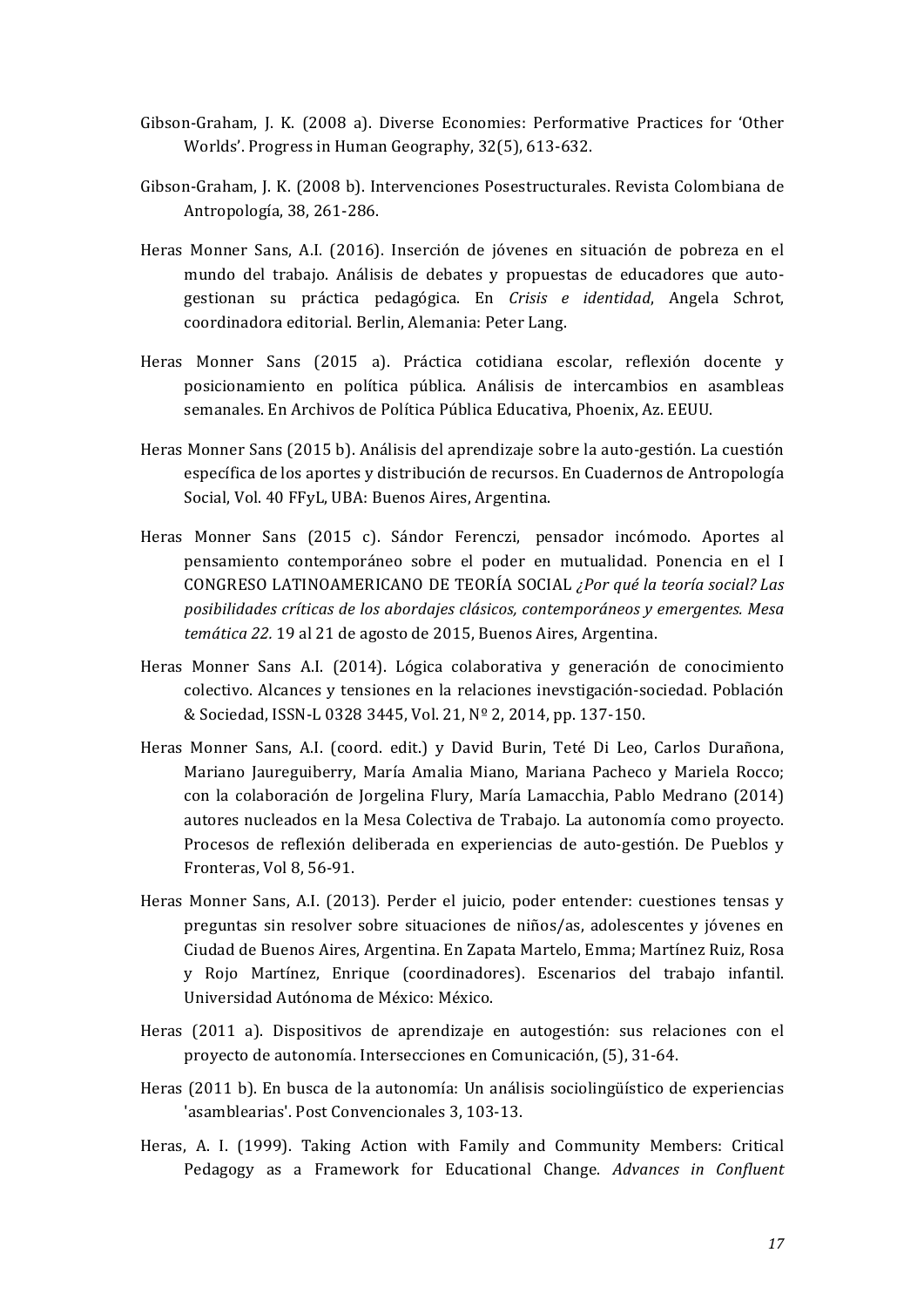- Gibson-Graham, J. K. (2008 a). Diverse Economies: Performative Practices for 'Other Worlds'. Progress in Human Geography, 32(5), 613-632.
- Gibson-Graham, J. K. (2008 b). Intervenciones Posestructurales. Revista Colombiana de Antropología, 38, 261-286.
- Heras Monner Sans, A.I. (2016). Inserción de jóvenes en situación de pobreza en el mundo del trabajo. Análisis de debates y propuestas de educadores que autogestionan su práctica pedagógica. En *Crisis e identidad*, Angela Schrot, coordinadora editorial. Berlin, Alemania: Peter Lang.
- Heras Monner Sans (2015 a). Práctica cotidiana escolar, reflexión docente y posicionamiento en política pública. Análisis de intercambios en asambleas semanales. En Archivos de Política Pública Educativa, Phoenix, Az. EEUU.
- Heras Monner Sans (2015 b). Análisis del aprendizaje sobre la auto-gestión. La cuestión específica de los aportes y distribución de recursos. En Cuadernos de Antropología Social, Vol. 40 FFyL, UBA: Buenos Aires, Argentina.
- Heras Monner Sans (2015 c). Sándor Ferenczi, pensador incómodo. Aportes al pensamiento contemporáneo sobre el poder en mutualidad. Ponencia en el I CONGRESO LATINOAMERICANO DE TEORÍA SOCIAL *¿Por qué la teoría social? Las*  posibilidades críticas de los abordajes clásicos, contemporáneos y emergentes. Mesa temática 22. 19 al 21 de agosto de 2015, Buenos Aires, Argentina.
- Heras Monner Sans A.I. (2014). Lógica colaborativa y generación de conocimiento colectivo. Alcances y tensiones en la relaciones inevstigación-sociedad. Población & Sociedad, ISSN-L 0328 3445, Vol. 21, Nº 2, 2014, pp. 137-150.
- Heras Monner Sans, A.I. (coord. edit.) y David Burin, Teté Di Leo, Carlos Durañona, Mariano Jaureguiberry, María Amalia Miano, Mariana Pacheco y Mariela Rocco; con la colaboración de Jorgelina Flury, María Lamacchia, Pablo Medrano (2014) autores nucleados en la Mesa Colectiva de Trabajo. La autonomía como proyecto. Procesos de reflexión deliberada en experiencias de auto-gestión. De Pueblos y Fronteras, Vol 8, 56-91.
- Heras Monner Sans, A.I. (2013). Perder el juicio, poder entender: cuestiones tensas y preguntas sin resolver sobre situaciones de niños/as, adolescentes y jóvenes en Ciudad de Buenos Aires, Argentina. En Zapata Martelo, Emma; Martínez Ruiz, Rosa y Rojo Martínez, Enrique (coordinadores). Escenarios del trabajo infantil. Universidad Autónoma de México: México.
- Heras (2011 a). Dispositivos de aprendizaje en autogestión: sus relaciones con el proyecto de autonomía. Intersecciones en Comunicación, (5), 31-64.
- Heras (2011 b). En busca de la autonomía: Un análisis sociolingüístico de experiencias 'asamblearias'. Post Convencionales 3, 103-13.
- Heras, A. I. (1999). Taking Action with Family and Community Members: Critical Pedagogy as a Framework for Educational Change. *Advances in Confluent*